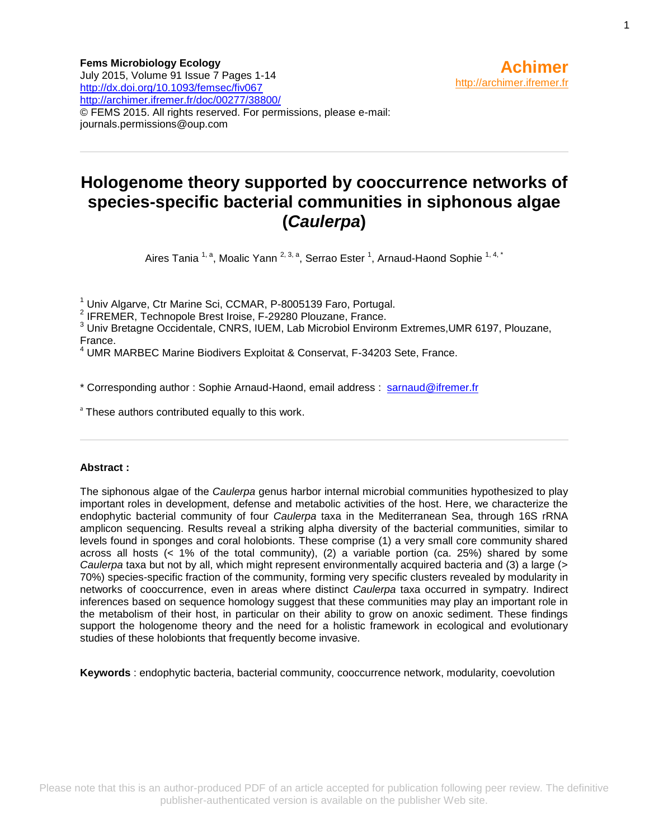# **Hologenome theory supported by cooccurrence networks of species-specific bacterial communities in siphonous algae (***Caulerpa***)**

Aires Tania <sup>1, a</sup>, Moalic Yann <sup>2, 3, a</sup>, Serrao Ester <sup>1</sup>, Arnaud-Haond Sophie <sup>1, 4, \*</sup>

<sup>1</sup> Univ Algarve, Ctr Marine Sci, CCMAR, P-8005139 Faro, Portugal.

2 IFREMER, Technopole Brest Iroise, F-29280 Plouzane, France.

<sup>3</sup> Univ Bretagne Occidentale, CNRS, IUEM, Lab Microbiol Environm Extremes,UMR 6197, Plouzane, France.

<sup>4</sup> UMR MARBEC Marine Biodivers Exploitat & Conservat, F-34203 Sete, France.

\* Corresponding author : Sophie Arnaud-Haond, email address : [sarnaud@ifremer.fr](file:///C:/birt/First_Page_Generation/Exports/sarnaud@ifremer.fr)

<sup>a</sup> These authors contributed equally to this work.

## **Abstract :**

The siphonous algae of the *Caulerpa* genus harbor internal microbial communities hypothesized to play important roles in development, defense and metabolic activities of the host. Here, we characterize the endophytic bacterial community of four *Caulerpa* taxa in the Mediterranean Sea, through 16S rRNA amplicon sequencing. Results reveal a striking alpha diversity of the bacterial communities, similar to levels found in sponges and coral holobionts. These comprise (1) a very small core community shared across all hosts  $\left($  < 1% of the total community), (2) a variable portion (ca. 25%) shared by some *Caulerpa* taxa but not by all, which might represent environmentally acquired bacteria and (3) a large (> 70%) species-specific fraction of the community, forming very specific clusters revealed by modularity in networks of cooccurrence, even in areas where distinct *Caulerpa* taxa occurred in sympatry. Indirect inferences based on sequence homology suggest that these communities may play an important role in the metabolism of their host, in particular on their ability to grow on anoxic sediment. These findings support the hologenome theory and the need for a holistic framework in ecological and evolutionary studies of these holobionts that frequently become invasive.

**Keywords** : endophytic bacteria, bacterial community, cooccurrence network, modularity, coevolution

**Achimer**

[http://archimer.ifremer.fr](http://archimer.ifremer.fr/)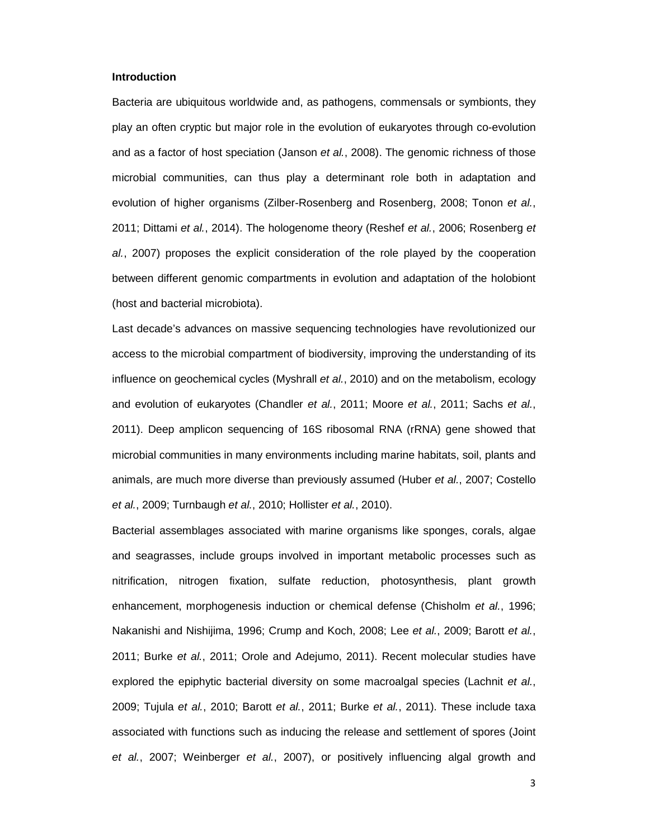#### **Introduction**

Bacteria are ubiquitous worldwide and, as pathogens, commensals or symbionts, they play an often cryptic but major role in the evolution of eukaryotes through co-evolution and as a factor of host speciation (Janson et al., 2008). The genomic richness of those microbial communities, can thus play a determinant role both in adaptation and evolution of higher organisms (Zilber-Rosenberg and Rosenberg, 2008; Tonon et al., 2011; Dittami et al., 2014). The hologenome theory (Reshef et al., 2006; Rosenberg et al., 2007) proposes the explicit consideration of the role played by the cooperation between different genomic compartments in evolution and adaptation of the holobiont (host and bacterial microbiota).

Last decade's advances on massive sequencing technologies have revolutionized our access to the microbial compartment of biodiversity, improving the understanding of its influence on geochemical cycles (Myshrall et al., 2010) and on the metabolism, ecology and evolution of eukaryotes (Chandler et al., 2011; Moore et al., 2011; Sachs et al., 2011). Deep amplicon sequencing of 16S ribosomal RNA (rRNA) gene showed that microbial communities in many environments including marine habitats, soil, plants and animals, are much more diverse than previously assumed (Huber et al., 2007; Costello et al., 2009; Turnbaugh et al., 2010; Hollister et al., 2010).

Bacterial assemblages associated with marine organisms like sponges, corals, algae and seagrasses, include groups involved in important metabolic processes such as nitrification, nitrogen fixation, sulfate reduction, photosynthesis, plant growth enhancement, morphogenesis induction or chemical defense (Chisholm et al., 1996; Nakanishi and Nishijima, 1996; Crump and Koch, 2008; Lee et al., 2009; Barott et al., 2011; Burke et al., 2011; Orole and Adejumo, 2011). Recent molecular studies have explored the epiphytic bacterial diversity on some macroalgal species (Lachnit et al., 2009; Tujula et al., 2010; Barott et al., 2011; Burke et al., 2011). These include taxa associated with functions such as inducing the release and settlement of spores (Joint et al., 2007; Weinberger et al., 2007), or positively influencing algal growth and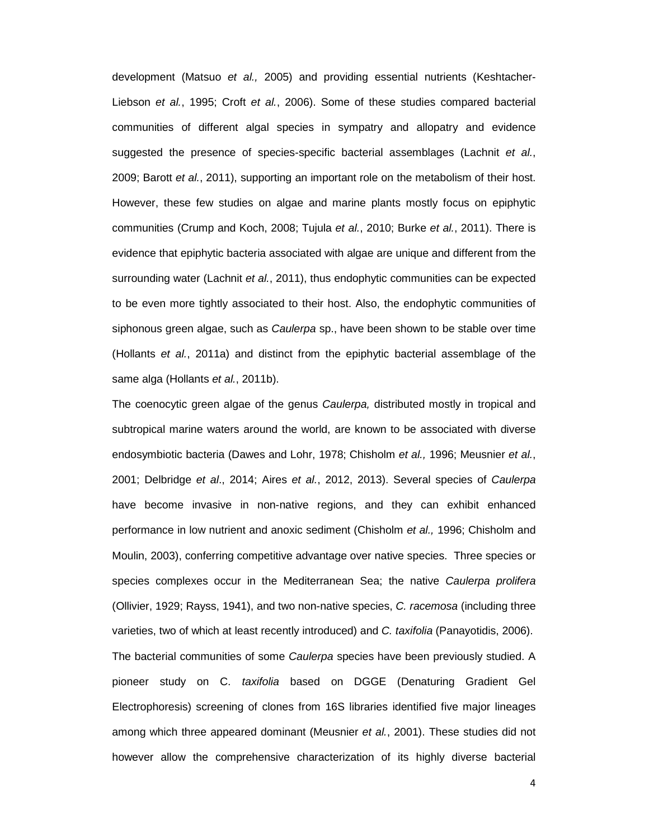development (Matsuo et al., 2005) and providing essential nutrients (Keshtacher-Liebson et al., 1995; Croft et al., 2006). Some of these studies compared bacterial communities of different algal species in sympatry and allopatry and evidence suggested the presence of species-specific bacterial assemblages (Lachnit et al., 2009; Barott et al., 2011), supporting an important role on the metabolism of their host. However, these few studies on algae and marine plants mostly focus on epiphytic communities (Crump and Koch, 2008; Tujula et al., 2010; Burke et al., 2011). There is evidence that epiphytic bacteria associated with algae are unique and different from the surrounding water (Lachnit et al., 2011), thus endophytic communities can be expected to be even more tightly associated to their host. Also, the endophytic communities of siphonous green algae, such as *Caulerpa* sp., have been shown to be stable over time (Hollants et al., 2011a) and distinct from the epiphytic bacterial assemblage of the same alga (Hollants et al., 2011b).

The coenocytic green algae of the genus Caulerpa, distributed mostly in tropical and subtropical marine waters around the world, are known to be associated with diverse endosymbiotic bacteria (Dawes and Lohr, 1978; Chisholm et al., 1996; Meusnier et al., 2001; Delbridge et al., 2014; Aires et al., 2012, 2013). Several species of Caulerpa have become invasive in non-native regions, and they can exhibit enhanced performance in low nutrient and anoxic sediment (Chisholm et al., 1996; Chisholm and Moulin, 2003), conferring competitive advantage over native species. Three species or species complexes occur in the Mediterranean Sea; the native Caulerpa prolifera (Ollivier, 1929; Rayss, 1941), and two non-native species, C. racemosa (including three varieties, two of which at least recently introduced) and C. taxifolia (Panayotidis, 2006). The bacterial communities of some *Caulerpa* species have been previously studied. A pioneer study on C. taxifolia based on DGGE (Denaturing Gradient Gel Electrophoresis) screening of clones from 16S libraries identified five major lineages among which three appeared dominant (Meusnier et al., 2001). These studies did not however allow the comprehensive characterization of its highly diverse bacterial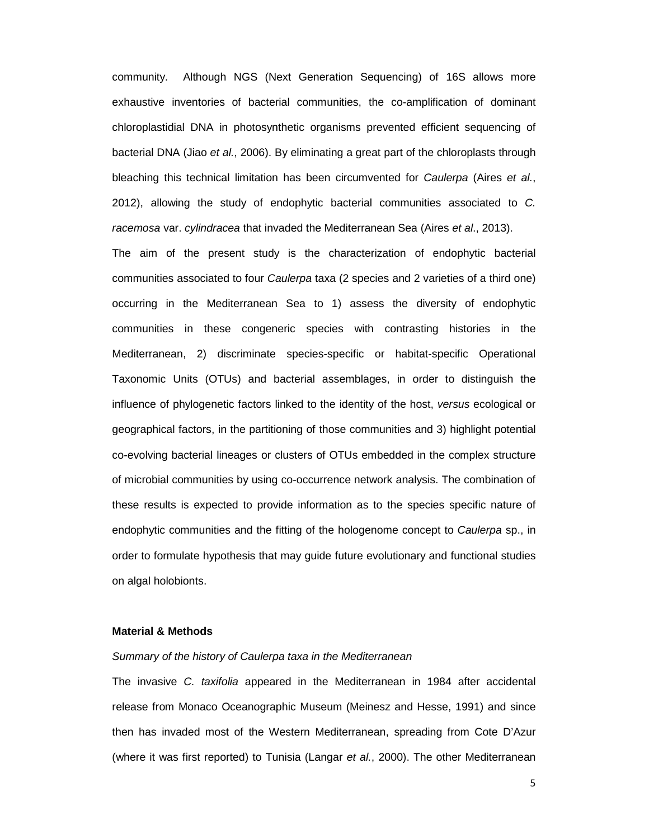community. Although NGS (Next Generation Sequencing) of 16S allows more exhaustive inventories of bacterial communities, the co-amplification of dominant chloroplastidial DNA in photosynthetic organisms prevented efficient sequencing of bacterial DNA (Jiao et al., 2006). By eliminating a great part of the chloroplasts through bleaching this technical limitation has been circumvented for Caulerpa (Aires et al., 2012), allowing the study of endophytic bacterial communities associated to C. racemosa var. cylindracea that invaded the Mediterranean Sea (Aires et al., 2013).

The aim of the present study is the characterization of endophytic bacterial communities associated to four Caulerpa taxa (2 species and 2 varieties of a third one) occurring in the Mediterranean Sea to 1) assess the diversity of endophytic communities in these congeneric species with contrasting histories in the Mediterranean, 2) discriminate species-specific or habitat-specific Operational Taxonomic Units (OTUs) and bacterial assemblages, in order to distinguish the influence of phylogenetic factors linked to the identity of the host, versus ecological or geographical factors, in the partitioning of those communities and 3) highlight potential co-evolving bacterial lineages or clusters of OTUs embedded in the complex structure of microbial communities by using co-occurrence network analysis. The combination of these results is expected to provide information as to the species specific nature of endophytic communities and the fitting of the hologenome concept to Caulerpa sp., in order to formulate hypothesis that may guide future evolutionary and functional studies on algal holobionts.

### **Material & Methods**

#### Summary of the history of Caulerpa taxa in the Mediterranean

The invasive C. taxifolia appeared in the Mediterranean in 1984 after accidental release from Monaco Oceanographic Museum (Meinesz and Hesse, 1991) and since then has invaded most of the Western Mediterranean, spreading from Cote D'Azur (where it was first reported) to Tunisia (Langar et al., 2000). The other Mediterranean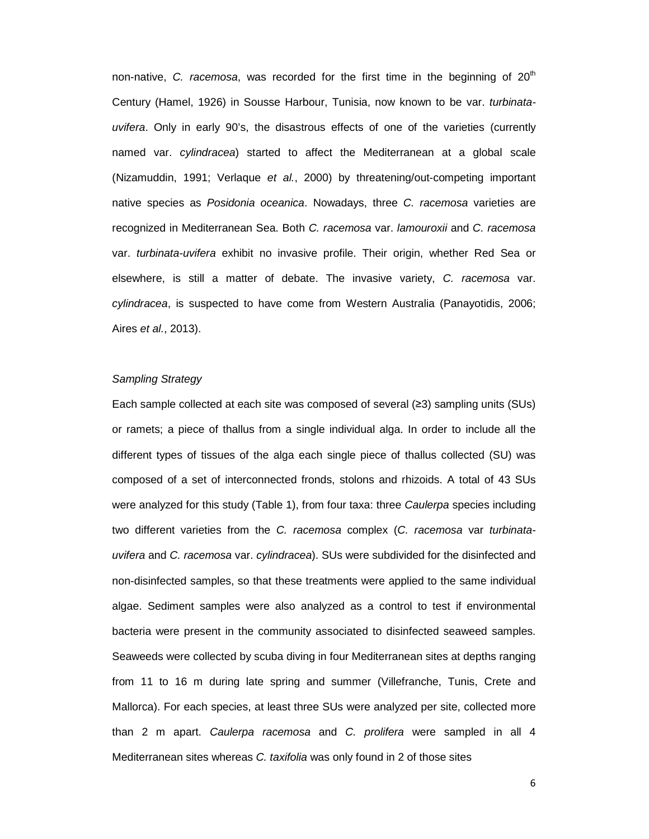non-native, C. racemosa, was recorded for the first time in the beginning of  $20<sup>th</sup>$ Century (Hamel, 1926) in Sousse Harbour, Tunisia, now known to be var. turbinatauvifera. Only in early 90's, the disastrous effects of one of the varieties (currently named var. cylindracea) started to affect the Mediterranean at a global scale (Nizamuddin, 1991; Verlaque et al., 2000) by threatening/out-competing important native species as Posidonia oceanica. Nowadays, three C. racemosa varieties are recognized in Mediterranean Sea. Both C. racemosa var. lamouroxii and C. racemosa var. turbinata-uvifera exhibit no invasive profile. Their origin, whether Red Sea or elsewhere, is still a matter of debate. The invasive variety, C. racemosa var. cylindracea, is suspected to have come from Western Australia (Panayotidis, 2006; Aires *et al.*, 2013).

#### Sampling Strategy

Each sample collected at each site was composed of several (≥3) sampling units (SUs) or ramets; a piece of thallus from a single individual alga. In order to include all the different types of tissues of the alga each single piece of thallus collected (SU) was composed of a set of interconnected fronds, stolons and rhizoids. A total of 43 SUs were analyzed for this study (Table 1), from four taxa: three Caulerpa species including two different varieties from the C. racemosa complex (C. racemosa var turbinatauvifera and C. racemosa var. cylindracea). SUs were subdivided for the disinfected and non-disinfected samples, so that these treatments were applied to the same individual algae. Sediment samples were also analyzed as a control to test if environmental bacteria were present in the community associated to disinfected seaweed samples. Seaweeds were collected by scuba diving in four Mediterranean sites at depths ranging from 11 to 16 m during late spring and summer (Villefranche, Tunis, Crete and Mallorca). For each species, at least three SUs were analyzed per site, collected more than 2 m apart. Caulerpa racemosa and C. prolifera were sampled in all 4 Mediterranean sites whereas C. taxifolia was only found in 2 of those sites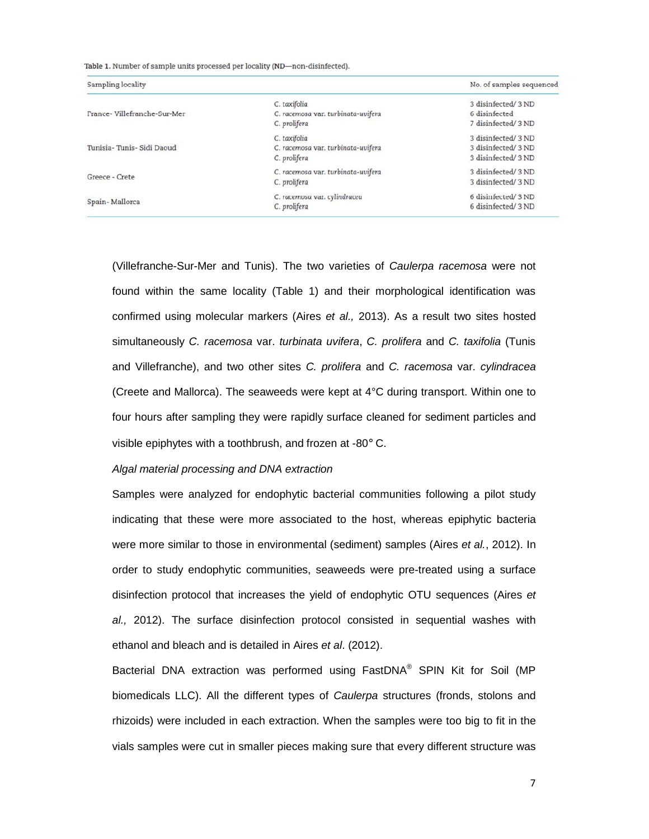Table 1. Number of sample units processed per locality (ND-non-disinfected).

| Sampling locality           |                                    | No. of samples sequenced |
|-----------------------------|------------------------------------|--------------------------|
| France-Villefranche-Sur-Mer | C. taxifolia                       | 3 disinfected/ 3 ND      |
|                             | C. racemosa var. turbinata-uvifera | 6 disinfected            |
|                             | C. prolifera                       | 7 disinfected/ 3 ND      |
| Tunisia-Tunis- Sidi Daoud   | C. taxifolia                       | 3 disinfected/ 3 ND      |
|                             | C. racemosa var. turbinata-uvifera | 3 disinfected/ 3 ND      |
|                             | C. prolifera                       | 3 disinfected/ 3 ND      |
| Greece - Crete              | C. racemosa var. turbinata-uvifera | 3 disinfected/ 3 ND      |
|                             | C. prolifera                       | 3 disinfected/ 3 ND      |
| Spain-Mallorca              | C. racemosa var. cylindracea       | 6 disinfected/ 3 ND      |
|                             | C. prolifera                       | 6 disinfected/ 3 ND      |

(Villefranche-Sur-Mer and Tunis). The two varieties of Caulerpa racemosa were not found within the same locality (Table 1) and their morphological identification was confirmed using molecular markers (Aires et al., 2013). As a result two sites hosted simultaneously C. racemosa var. turbinata uvifera, C. prolifera and C. taxifolia (Tunis and Villefranche), and two other sites C. prolifera and C. racemosa var. cylindracea (Creete and Mallorca). The seaweeds were kept at 4°C during transport. Within one to four hours after sampling they were rapidly surface cleaned for sediment particles and visible epiphytes with a toothbrush, and frozen at -80° C.

## Algal material processing and DNA extraction

Samples were analyzed for endophytic bacterial communities following a pilot study indicating that these were more associated to the host, whereas epiphytic bacteria were more similar to those in environmental (sediment) samples (Aires et al., 2012). In order to study endophytic communities, seaweeds were pre-treated using a surface disinfection protocol that increases the yield of endophytic OTU sequences (Aires et al., 2012). The surface disinfection protocol consisted in sequential washes with ethanol and bleach and is detailed in Aires et al. (2012).

Bacterial DNA extraction was performed using FastDNA® SPIN Kit for Soil (MP biomedicals LLC). All the different types of *Caulerpa* structures (fronds, stolons and rhizoids) were included in each extraction. When the samples were too big to fit in the vials samples were cut in smaller pieces making sure that every different structure was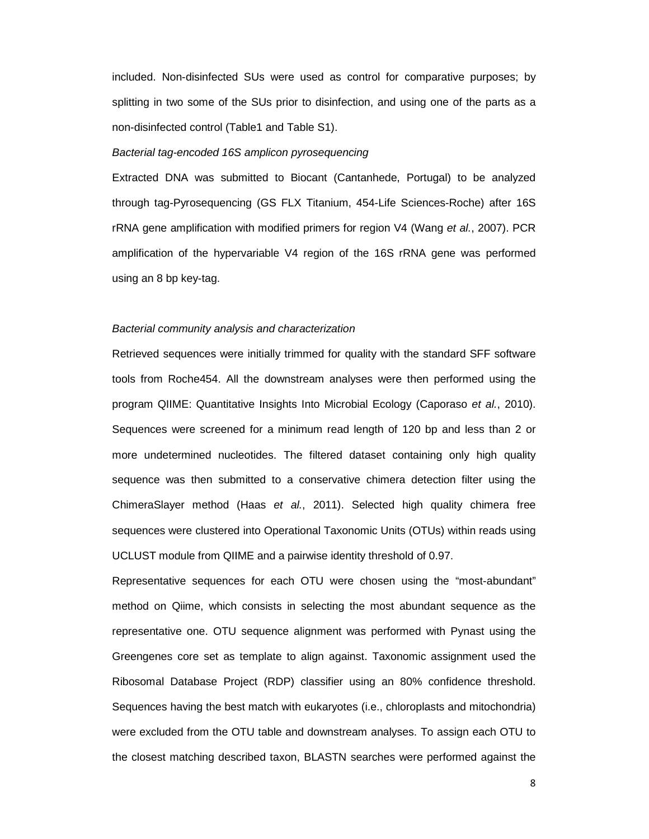included. Non-disinfected SUs were used as control for comparative purposes; by splitting in two some of the SUs prior to disinfection, and using one of the parts as a non-disinfected control (Table1 and Table S1).

## Bacterial tag-encoded 16S amplicon pyrosequencing

Extracted DNA was submitted to Biocant (Cantanhede, Portugal) to be analyzed through tag-Pyrosequencing (GS FLX Titanium, 454-Life Sciences-Roche) after 16S rRNA gene amplification with modified primers for region V4 (Wang et al., 2007). PCR amplification of the hypervariable V4 region of the 16S rRNA gene was performed using an 8 bp key-tag.

#### Bacterial community analysis and characterization

Retrieved sequences were initially trimmed for quality with the standard SFF software tools from Roche454. All the downstream analyses were then performed using the program QIIME: Quantitative Insights Into Microbial Ecology (Caporaso et al., 2010). Sequences were screened for a minimum read length of 120 bp and less than 2 or more undetermined nucleotides. The filtered dataset containing only high quality sequence was then submitted to a conservative chimera detection filter using the ChimeraSlayer method (Haas et al., 2011). Selected high quality chimera free sequences were clustered into Operational Taxonomic Units (OTUs) within reads using UCLUST module from QIIME and a pairwise identity threshold of 0.97.

Representative sequences for each OTU were chosen using the "most-abundant" method on Qiime, which consists in selecting the most abundant sequence as the representative one. OTU sequence alignment was performed with Pynast using the Greengenes core set as template to align against. Taxonomic assignment used the Ribosomal Database Project (RDP) classifier using an 80% confidence threshold. Sequences having the best match with eukaryotes (i.e., chloroplasts and mitochondria) were excluded from the OTU table and downstream analyses. To assign each OTU to the closest matching described taxon, BLASTN searches were performed against the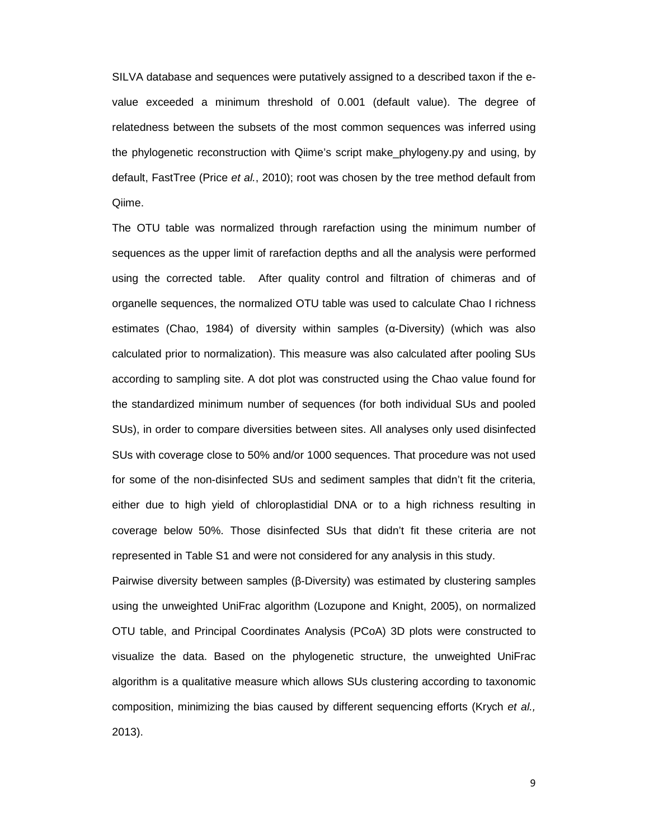SILVA database and sequences were putatively assigned to a described taxon if the evalue exceeded a minimum threshold of 0.001 (default value). The degree of relatedness between the subsets of the most common sequences was inferred using the phylogenetic reconstruction with Qiime's script make\_phylogeny.py and using, by default, FastTree (Price et al., 2010); root was chosen by the tree method default from Qiime.

The OTU table was normalized through rarefaction using the minimum number of sequences as the upper limit of rarefaction depths and all the analysis were performed using the corrected table. After quality control and filtration of chimeras and of organelle sequences, the normalized OTU table was used to calculate Chao I richness estimates (Chao, 1984) of diversity within samples (α-Diversity) (which was also calculated prior to normalization). This measure was also calculated after pooling SUs according to sampling site. A dot plot was constructed using the Chao value found for the standardized minimum number of sequences (for both individual SUs and pooled SUs), in order to compare diversities between sites. All analyses only used disinfected SUs with coverage close to 50% and/or 1000 sequences. That procedure was not used for some of the non-disinfected SUS and sediment samples that didn't fit the criteria, either due to high yield of chloroplastidial DNA or to a high richness resulting in coverage below 50%. Those disinfected SUs that didn't fit these criteria are not represented in Table S1 and were not considered for any analysis in this study.

Pairwise diversity between samples (β-Diversity) was estimated by clustering samples using the unweighted UniFrac algorithm (Lozupone and Knight, 2005), on normalized OTU table, and Principal Coordinates Analysis (PCoA) 3D plots were constructed to visualize the data. Based on the phylogenetic structure, the unweighted UniFrac algorithm is a qualitative measure which allows SUs clustering according to taxonomic composition, minimizing the bias caused by different sequencing efforts (Krych et al., 2013).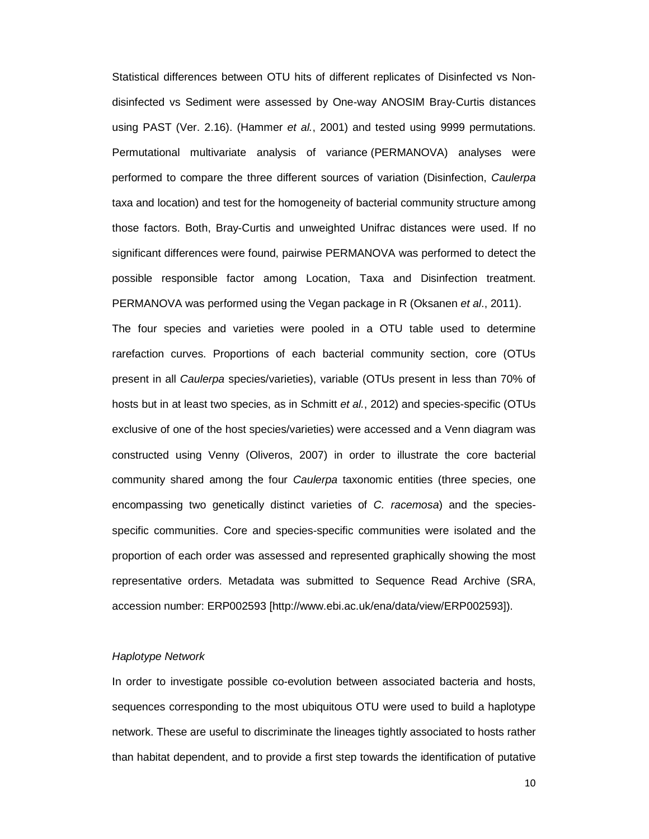Statistical differences between OTU hits of different replicates of Disinfected vs Nondisinfected vs Sediment were assessed by One-way ANOSIM Bray-Curtis distances using PAST (Ver. 2.16). (Hammer et al., 2001) and tested using 9999 permutations. Permutational multivariate analysis of variance (PERMANOVA) analyses were performed to compare the three different sources of variation (Disinfection, Caulerpa taxa and location) and test for the homogeneity of bacterial community structure among those factors. Both, Bray-Curtis and unweighted Unifrac distances were used. If no significant differences were found, pairwise PERMANOVA was performed to detect the possible responsible factor among Location, Taxa and Disinfection treatment. PERMANOVA was performed using the Vegan package in R (Oksanen et al., 2011).

The four species and varieties were pooled in a OTU table used to determine rarefaction curves. Proportions of each bacterial community section, core (OTUs present in all Caulerpa species/varieties), variable (OTUs present in less than 70% of hosts but in at least two species, as in Schmitt et al., 2012) and species-specific (OTUs exclusive of one of the host species/varieties) were accessed and a Venn diagram was constructed using Venny (Oliveros, 2007) in order to illustrate the core bacterial community shared among the four Caulerpa taxonomic entities (three species, one encompassing two genetically distinct varieties of C. racemosa) and the speciesspecific communities. Core and species-specific communities were isolated and the proportion of each order was assessed and represented graphically showing the most representative orders. Metadata was submitted to Sequence Read Archive (SRA, accession number: ERP002593 [http://www.ebi.ac.uk/ena/data/view/ERP002593]).

#### Haplotype Network

In order to investigate possible co-evolution between associated bacteria and hosts, sequences corresponding to the most ubiquitous OTU were used to build a haplotype network. These are useful to discriminate the lineages tightly associated to hosts rather than habitat dependent, and to provide a first step towards the identification of putative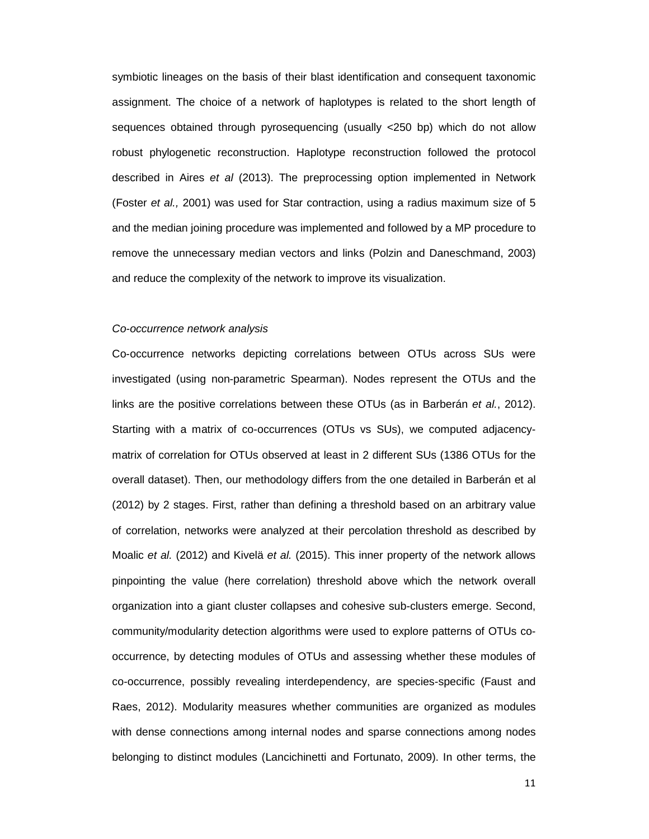symbiotic lineages on the basis of their blast identification and consequent taxonomic assignment. The choice of a network of haplotypes is related to the short length of sequences obtained through pyrosequencing (usually <250 bp) which do not allow robust phylogenetic reconstruction. Haplotype reconstruction followed the protocol described in Aires et al (2013). The preprocessing option implemented in Network (Foster et al., 2001) was used for Star contraction, using a radius maximum size of 5 and the median joining procedure was implemented and followed by a MP procedure to remove the unnecessary median vectors and links (Polzin and Daneschmand, 2003) and reduce the complexity of the network to improve its visualization.

#### Co-occurrence network analysis

Co-occurrence networks depicting correlations between OTUs across SUs were investigated (using non-parametric Spearman). Nodes represent the OTUs and the links are the positive correlations between these OTUs (as in Barberán et al., 2012). Starting with a matrix of co-occurrences (OTUs vs SUs), we computed adjacencymatrix of correlation for OTUs observed at least in 2 different SUs (1386 OTUs for the overall dataset). Then, our methodology differs from the one detailed in Barberán et al (2012) by 2 stages. First, rather than defining a threshold based on an arbitrary value of correlation, networks were analyzed at their percolation threshold as described by Moalic et al. (2012) and Kivelä et al. (2015). This inner property of the network allows pinpointing the value (here correlation) threshold above which the network overall organization into a giant cluster collapses and cohesive sub-clusters emerge. Second, community/modularity detection algorithms were used to explore patterns of OTUs cooccurrence, by detecting modules of OTUs and assessing whether these modules of co-occurrence, possibly revealing interdependency, are species-specific (Faust and Raes, 2012). Modularity measures whether communities are organized as modules with dense connections among internal nodes and sparse connections among nodes belonging to distinct modules (Lancichinetti and Fortunato, 2009). In other terms, the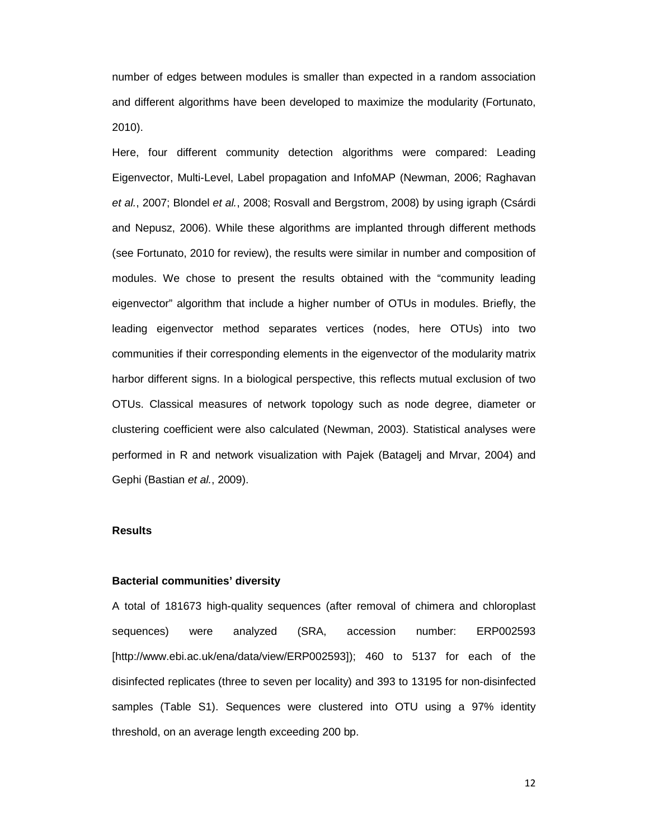number of edges between modules is smaller than expected in a random association and different algorithms have been developed to maximize the modularity (Fortunato, 2010).

Here, four different community detection algorithms were compared: Leading Eigenvector, Multi-Level, Label propagation and InfoMAP (Newman, 2006; Raghavan et al., 2007; Blondel et al., 2008; Rosvall and Bergstrom, 2008) by using igraph (Csárdi and Nepusz, 2006). While these algorithms are implanted through different methods (see Fortunato, 2010 for review), the results were similar in number and composition of modules. We chose to present the results obtained with the "community leading eigenvector" algorithm that include a higher number of OTUs in modules. Briefly, the leading eigenvector method separates vertices (nodes, here OTUs) into two communities if their corresponding elements in the eigenvector of the modularity matrix harbor different signs. In a biological perspective, this reflects mutual exclusion of two OTUs. Classical measures of network topology such as node degree, diameter or clustering coefficient were also calculated (Newman, 2003). Statistical analyses were performed in R and network visualization with Pajek (Batagelj and Mrvar, 2004) and Gephi (Bastian et al., 2009).

## **Results**

#### **Bacterial communities' diversity**

A total of 181673 high-quality sequences (after removal of chimera and chloroplast sequences) were analyzed (SRA, accession number: ERP002593 [http://www.ebi.ac.uk/ena/data/view/ERP002593]); 460 to 5137 for each of the disinfected replicates (three to seven per locality) and 393 to 13195 for non-disinfected samples (Table S1). Sequences were clustered into OTU using a 97% identity threshold, on an average length exceeding 200 bp.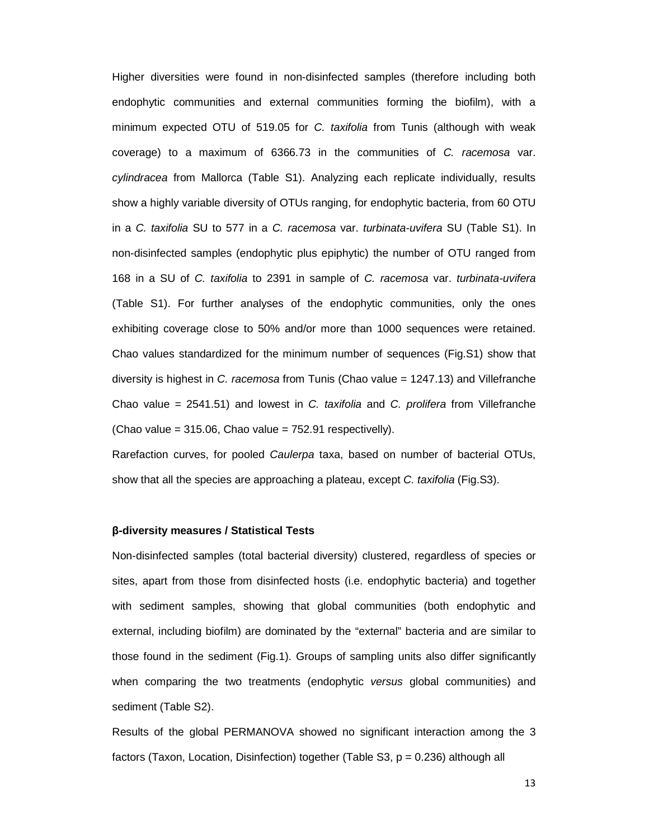Higher diversities were found in non-disinfected samples (therefore including both endophytic communities and external communities forming the biofilm), with a minimum expected OTU of 519.05 for C. taxifolia from Tunis (although with weak coverage) to a maximum of 6366.73 in the communities of C. racemosa var. cylindracea from Mallorca (Table S1). Analyzing each replicate individually, results show a highly variable diversity of OTUs ranging, for endophytic bacteria, from 60 OTU in a C. taxifolia SU to 577 in a C. racemosa var. turbinata-uvifera SU (Table S1). In non-disinfected samples (endophytic plus epiphytic) the number of OTU ranged from 168 in a SU of C. taxifolia to 2391 in sample of C. racemosa var. turbinata-uvifera (Table S1). For further analyses of the endophytic communities, only the ones exhibiting coverage close to 50% and/or more than 1000 sequences were retained. Chao values standardized for the minimum number of sequences (Fig.S1) show that diversity is highest in C. racemosa from Tunis (Chao value = 1247.13) and Villefranche Chao value =  $2541.51$ ) and lowest in C. taxifolia and C. prolifera from Villefranche  $(Chao value = 315.06, Chao value = 752.91 respectively).$ 

Rarefaction curves, for pooled Caulerpa taxa, based on number of bacterial OTUs, show that all the species are approaching a plateau, except C. taxifolia (Fig.S3).

## **β-diversity measures / Statistical Tests**

Non-disinfected samples (total bacterial diversity) clustered, regardless of species or sites, apart from those from disinfected hosts (i.e. endophytic bacteria) and together with sediment samples, showing that global communities (both endophytic and external, including biofilm) are dominated by the "external" bacteria and are similar to those found in the sediment (Fig.1). Groups of sampling units also differ significantly when comparing the two treatments (endophytic versus global communities) and sediment (Table S2).

Results of the global PERMANOVA showed no significant interaction among the 3 factors (Taxon, Location, Disinfection) together (Table S3, p = 0.236) although all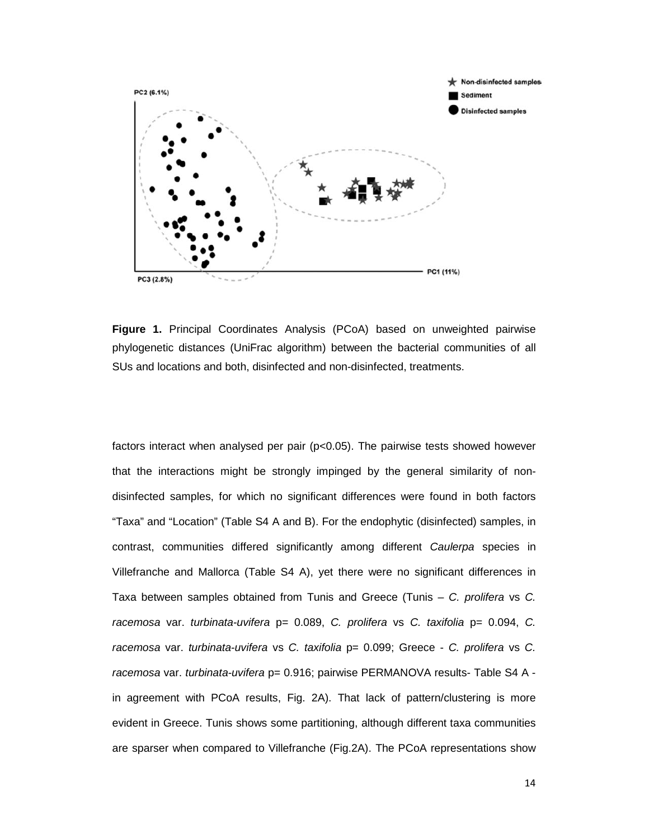

**Figure 1.** Principal Coordinates Analysis (PCoA) based on unweighted pairwise phylogenetic distances (UniFrac algorithm) between the bacterial communities of all SUs and locations and both, disinfected and non-disinfected, treatments.

factors interact when analysed per pair (p<0.05). The pairwise tests showed however that the interactions might be strongly impinged by the general similarity of nondisinfected samples, for which no significant differences were found in both factors "Taxa" and "Location" (Table S4 A and B). For the endophytic (disinfected) samples, in contrast, communities differed significantly among different Caulerpa species in Villefranche and Mallorca (Table S4 A), yet there were no significant differences in Taxa between samples obtained from Tunis and Greece (Tunis  $-$  C. prolifera vs C. racemosa var. turbinata-uvifera  $p= 0.089$ , C. prolifera vs C. taxifolia  $p= 0.094$ , C. racemosa var. turbinata-uvifera vs C. taxifolia p= 0.099; Greece - C. prolifera vs C. racemosa var. turbinata-uvifera p= 0.916; pairwise PERMANOVA results- Table S4 A in agreement with PCoA results, Fig. 2A). That lack of pattern/clustering is more evident in Greece. Tunis shows some partitioning, although different taxa communities are sparser when compared to Villefranche (Fig.2A). The PCoA representations show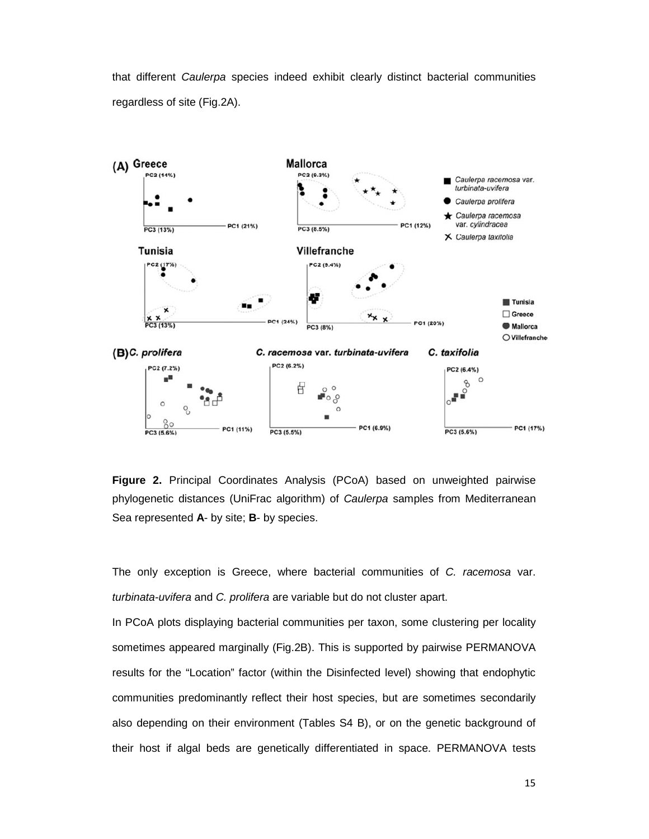that different Caulerpa species indeed exhibit clearly distinct bacterial communities regardless of site (Fig.2A).



**Figure 2.** Principal Coordinates Analysis (PCoA) based on unweighted pairwise phylogenetic distances (UniFrac algorithm) of Caulerpa samples from Mediterranean Sea represented **A**- by site; **B**- by species.

The only exception is Greece, where bacterial communities of C. racemosa var. turbinata-uvifera and C. prolifera are variable but do not cluster apart.

In PCoA plots displaying bacterial communities per taxon, some clustering per locality sometimes appeared marginally (Fig.2B). This is supported by pairwise PERMANOVA results for the "Location" factor (within the Disinfected level) showing that endophytic communities predominantly reflect their host species, but are sometimes secondarily also depending on their environment (Tables S4 B), or on the genetic background of their host if algal beds are genetically differentiated in space. PERMANOVA tests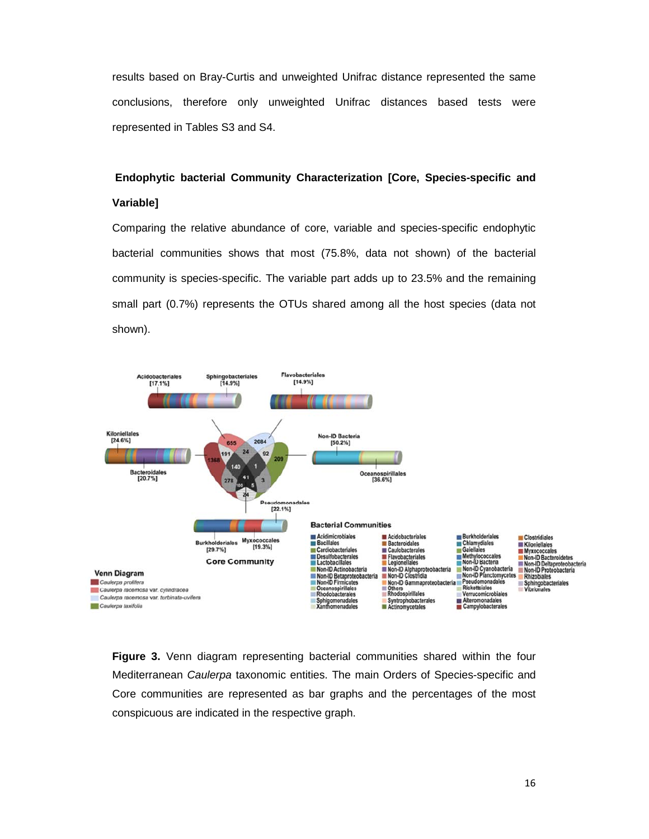results based on Bray-Curtis and unweighted Unifrac distance represented the same conclusions, therefore only unweighted Unifrac distances based tests were represented in Tables S3 and S4.

# **Endophytic bacterial Community Characterization [Core, Species-specific and Variable]**

Comparing the relative abundance of core, variable and species-specific endophytic bacterial communities shows that most (75.8%, data not shown) of the bacterial community is species-specific. The variable part adds up to 23.5% and the remaining small part (0.7%) represents the OTUs shared among all the host species (data not shown).



**Figure 3.** Venn diagram representing bacterial communities shared within the four Mediterranean Caulerpa taxonomic entities. The main Orders of Species-specific and Core communities are represented as bar graphs and the percentages of the most conspicuous are indicated in the respective graph.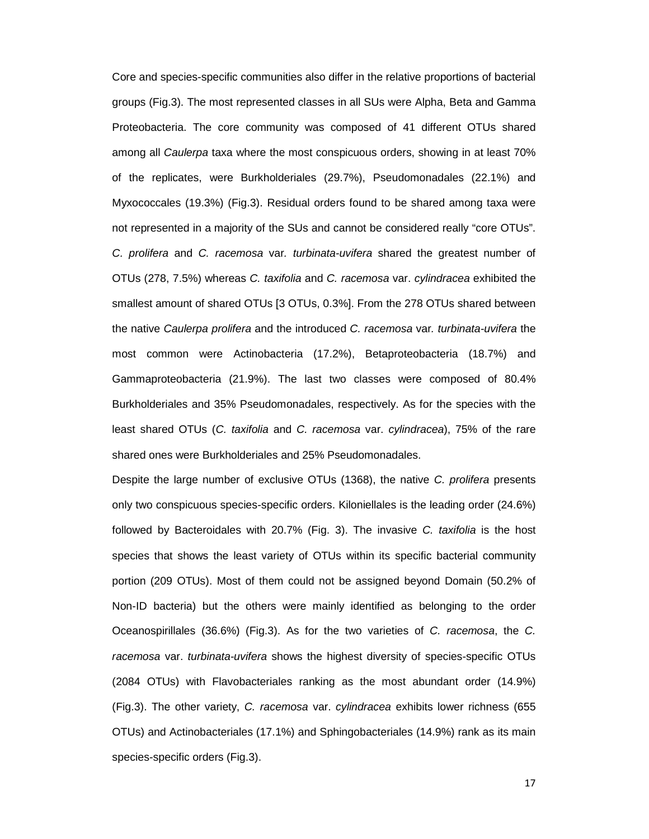Core and species-specific communities also differ in the relative proportions of bacterial groups (Fig.3). The most represented classes in all SUs were Alpha, Beta and Gamma Proteobacteria. The core community was composed of 41 different OTUs shared among all Caulerpa taxa where the most conspicuous orders, showing in at least 70% of the replicates, were Burkholderiales (29.7%), Pseudomonadales (22.1%) and Myxococcales (19.3%) (Fig.3). Residual orders found to be shared among taxa were not represented in a majority of the SUs and cannot be considered really "core OTUs". C. prolifera and C. racemosa var. turbinata-uvifera shared the greatest number of OTUs (278, 7.5%) whereas C. taxifolia and C. racemosa var. cylindracea exhibited the smallest amount of shared OTUs [3 OTUs, 0.3%]. From the 278 OTUs shared between the native Caulerpa prolifera and the introduced C. racemosa var. turbinata-uvifera the most common were Actinobacteria (17.2%), Betaproteobacteria (18.7%) and Gammaproteobacteria (21.9%). The last two classes were composed of 80.4% Burkholderiales and 35% Pseudomonadales, respectively. As for the species with the least shared OTUs (C. taxifolia and C. racemosa var. cylindracea), 75% of the rare shared ones were Burkholderiales and 25% Pseudomonadales.

Despite the large number of exclusive OTUs (1368), the native C. prolifera presents only two conspicuous species-specific orders. Kiloniellales is the leading order (24.6%) followed by Bacteroidales with 20.7% (Fig. 3). The invasive C. taxifolia is the host species that shows the least variety of OTUs within its specific bacterial community portion (209 OTUs). Most of them could not be assigned beyond Domain (50.2% of Non-ID bacteria) but the others were mainly identified as belonging to the order Oceanospirillales (36.6%) (Fig.3). As for the two varieties of C. racemosa, the C. racemosa var. turbinata-uvifera shows the highest diversity of species-specific OTUs (2084 OTUs) with Flavobacteriales ranking as the most abundant order (14.9%) (Fig.3). The other variety, C. racemosa var. cylindracea exhibits lower richness (655 OTUs) and Actinobacteriales (17.1%) and Sphingobacteriales (14.9%) rank as its main species-specific orders (Fig.3).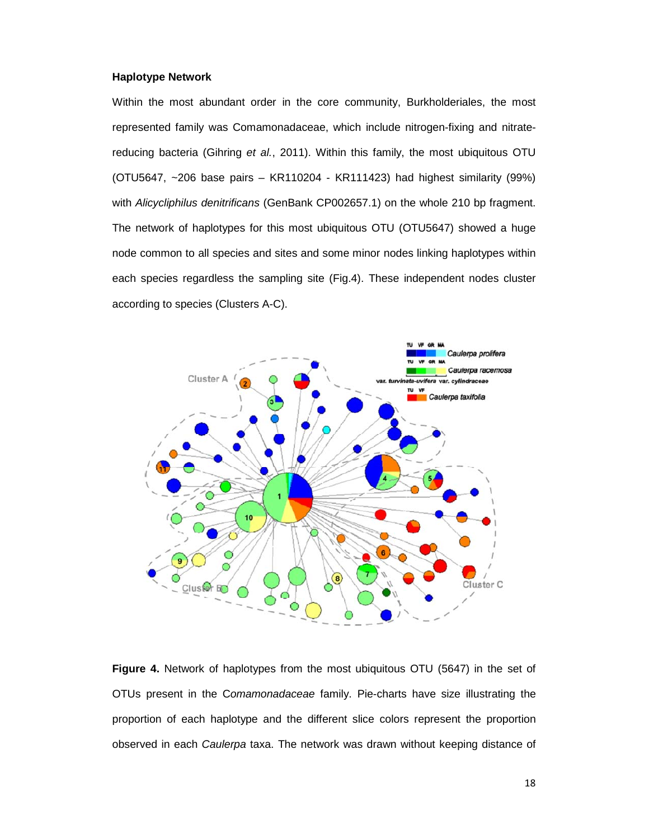## **Haplotype Network**

Within the most abundant order in the core community, Burkholderiales, the most represented family was Comamonadaceae, which include nitrogen-fixing and nitratereducing bacteria (Gihring et al., 2011). Within this family, the most ubiquitous OTU (OTU5647, ~206 base pairs – KR110204 - KR111423) had highest similarity (99%) with Alicycliphilus denitrificans (GenBank CP002657.1) on the whole 210 bp fragment. The network of haplotypes for this most ubiquitous OTU (OTU5647) showed a huge node common to all species and sites and some minor nodes linking haplotypes within each species regardless the sampling site (Fig.4). These independent nodes cluster according to species (Clusters A-C).



**Figure 4.** Network of haplotypes from the most ubiquitous OTU (5647) in the set of OTUs present in the Comamonadaceae family. Pie-charts have size illustrating the proportion of each haplotype and the different slice colors represent the proportion observed in each Caulerpa taxa. The network was drawn without keeping distance of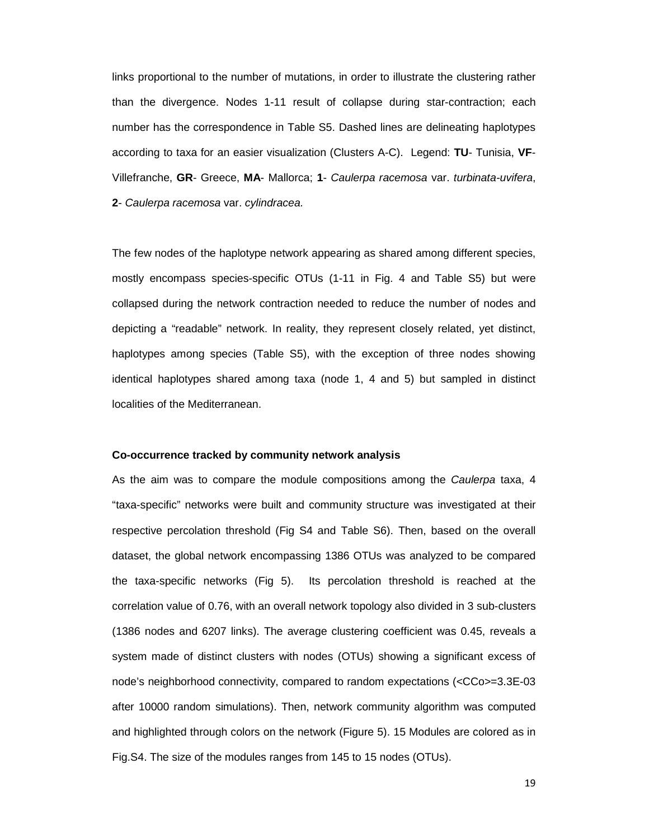links proportional to the number of mutations, in order to illustrate the clustering rather than the divergence. Nodes 1-11 result of collapse during star-contraction; each number has the correspondence in Table S5. Dashed lines are delineating haplotypes according to taxa for an easier visualization (Clusters A-C). Legend: **TU**- Tunisia, **VF**-Villefranche, **GR**- Greece, **MA**- Mallorca; **1**- Caulerpa racemosa var. turbinata-uvifera, **2**- Caulerpa racemosa var. cylindracea.

The few nodes of the haplotype network appearing as shared among different species, mostly encompass species-specific OTUs (1-11 in Fig. 4 and Table S5) but were collapsed during the network contraction needed to reduce the number of nodes and depicting a "readable" network. In reality, they represent closely related, yet distinct, haplotypes among species (Table S5), with the exception of three nodes showing identical haplotypes shared among taxa (node 1, 4 and 5) but sampled in distinct localities of the Mediterranean.

#### **Co-occurrence tracked by community network analysis**

As the aim was to compare the module compositions among the Caulerpa taxa, 4 "taxa-specific" networks were built and community structure was investigated at their respective percolation threshold (Fig S4 and Table S6). Then, based on the overall dataset, the global network encompassing 1386 OTUs was analyzed to be compared the taxa-specific networks (Fig 5). Its percolation threshold is reached at the correlation value of 0.76, with an overall network topology also divided in 3 sub-clusters (1386 nodes and 6207 links). The average clustering coefficient was 0.45, reveals a system made of distinct clusters with nodes (OTUs) showing a significant excess of node's neighborhood connectivity, compared to random expectations (<CCo>=3.3E-03 after 10000 random simulations). Then, network community algorithm was computed and highlighted through colors on the network (Figure 5). 15 Modules are colored as in Fig.S4. The size of the modules ranges from 145 to 15 nodes (OTUs).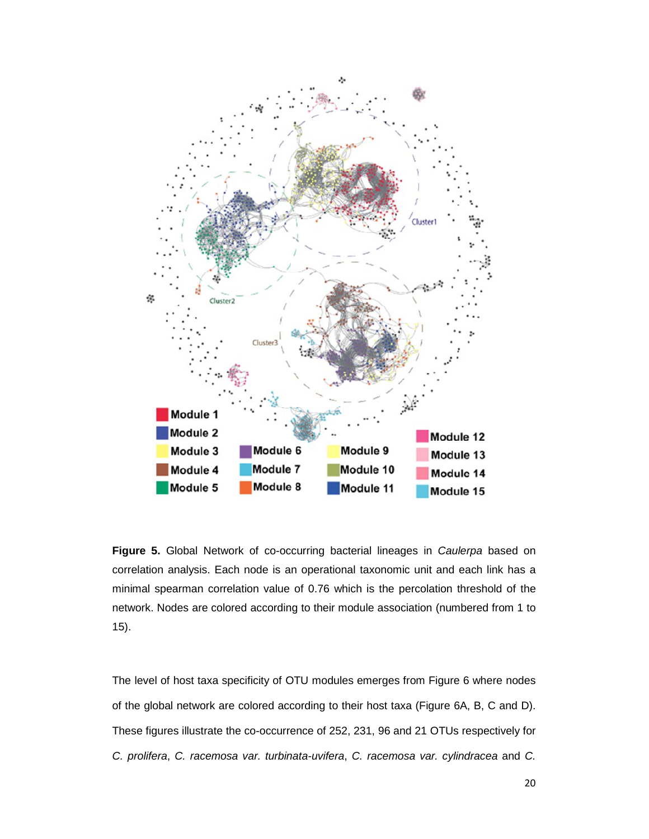

**Figure 5.** Global Network of co-occurring bacterial lineages in Caulerpa based on correlation analysis. Each node is an operational taxonomic unit and each link has a minimal spearman correlation value of 0.76 which is the percolation threshold of the network. Nodes are colored according to their module association (numbered from 1 to 15).

The level of host taxa specificity of OTU modules emerges from Figure 6 where nodes of the global network are colored according to their host taxa (Figure 6A, B, C and D). These figures illustrate the co-occurrence of 252, 231, 96 and 21 OTUs respectively for C. prolifera, C. racemosa var. turbinata-uvifera, C. racemosa var. cylindracea and C.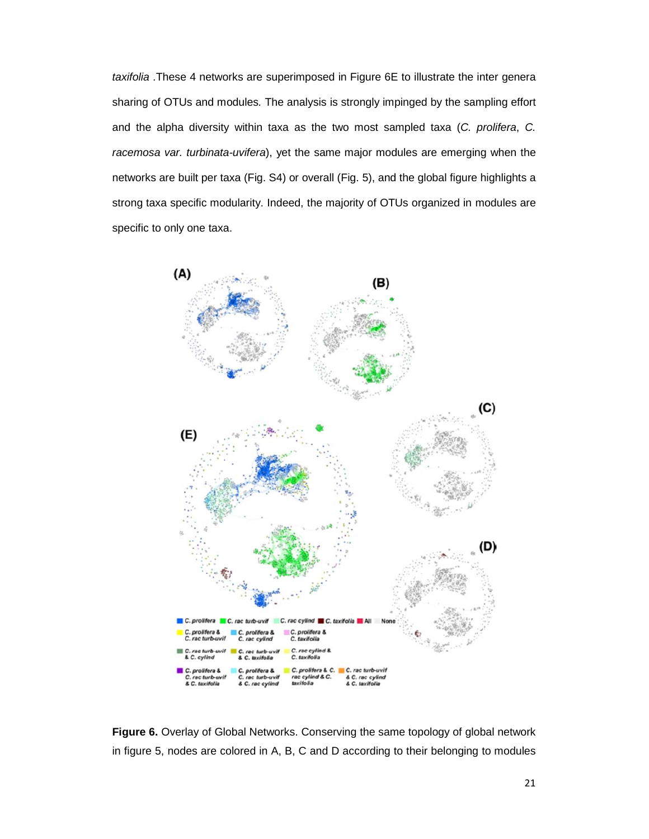taxifolia .These 4 networks are superimposed in Figure 6E to illustrate the inter genera sharing of OTUs and modules. The analysis is strongly impinged by the sampling effort and the alpha diversity within taxa as the two most sampled taxa (C. prolifera, C. racemosa var. turbinata-uvifera), yet the same major modules are emerging when the networks are built per taxa (Fig. S4) or overall (Fig. 5), and the global figure highlights a strong taxa specific modularity. Indeed, the majority of OTUs organized in modules are specific to only one taxa.



**Figure 6.** Overlay of Global Networks. Conserving the same topology of global network in figure 5, nodes are colored in A, B, C and D according to their belonging to modules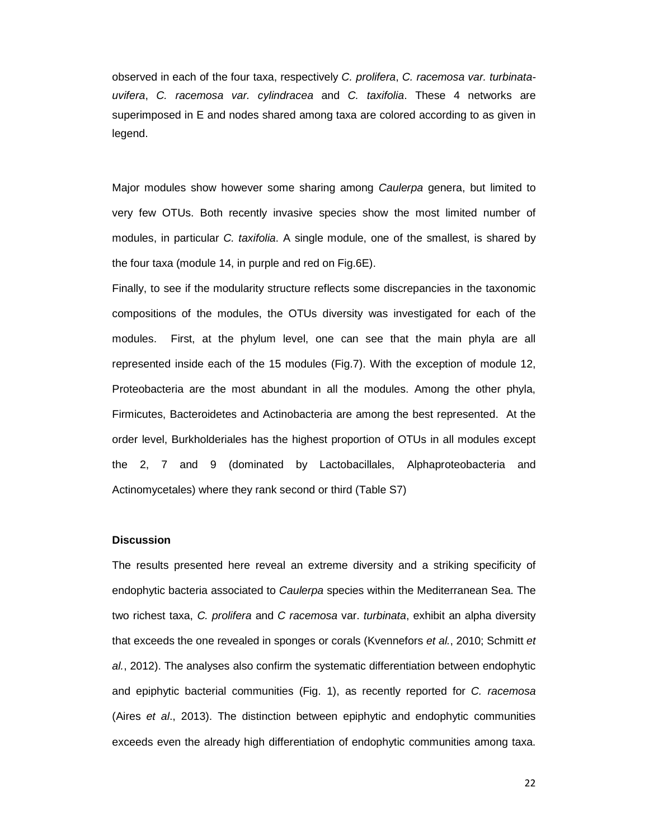observed in each of the four taxa, respectively C. prolifera, C. racemosa var. turbinatauvifera, C. racemosa var. cylindracea and C. taxifolia. These 4 networks are superimposed in E and nodes shared among taxa are colored according to as given in legend.

Major modules show however some sharing among Caulerpa genera, but limited to very few OTUs. Both recently invasive species show the most limited number of modules, in particular C. taxifolia. A single module, one of the smallest, is shared by the four taxa (module 14, in purple and red on Fig.6E).

Finally, to see if the modularity structure reflects some discrepancies in the taxonomic compositions of the modules, the OTUs diversity was investigated for each of the modules. First, at the phylum level, one can see that the main phyla are all represented inside each of the 15 modules (Fig.7). With the exception of module 12, Proteobacteria are the most abundant in all the modules. Among the other phyla, Firmicutes, Bacteroidetes and Actinobacteria are among the best represented. At the order level, Burkholderiales has the highest proportion of OTUs in all modules except the 2, 7 and 9 (dominated by Lactobacillales, Alphaproteobacteria and Actinomycetales) where they rank second or third (Table S7)

## **Discussion**

The results presented here reveal an extreme diversity and a striking specificity of endophytic bacteria associated to Caulerpa species within the Mediterranean Sea. The two richest taxa, C. prolifera and C racemosa var. turbinata, exhibit an alpha diversity that exceeds the one revealed in sponges or corals (Kvennefors et al., 2010; Schmitt et al., 2012). The analyses also confirm the systematic differentiation between endophytic and epiphytic bacterial communities (Fig. 1), as recently reported for C. racemosa (Aires et al., 2013). The distinction between epiphytic and endophytic communities exceeds even the already high differentiation of endophytic communities among taxa.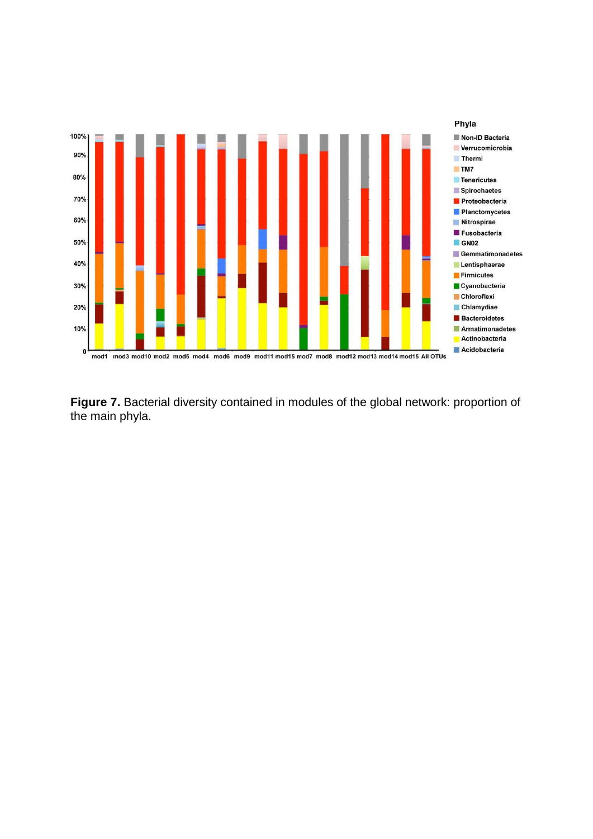

**Figure 7.** Bacterial diversity contained in modules of the global network: proportion of the main phyla.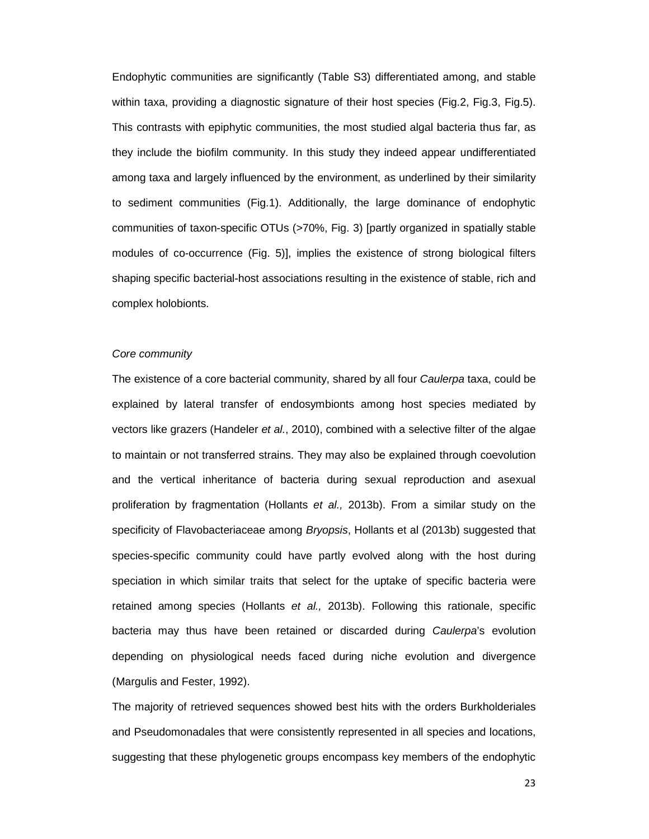Endophytic communities are significantly (Table S3) differentiated among, and stable within taxa, providing a diagnostic signature of their host species (Fig.2, Fig.3, Fig.5). This contrasts with epiphytic communities, the most studied algal bacteria thus far, as they include the biofilm community. In this study they indeed appear undifferentiated among taxa and largely influenced by the environment, as underlined by their similarity to sediment communities (Fig.1). Additionally, the large dominance of endophytic communities of taxon-specific OTUs (>70%, Fig. 3) [partly organized in spatially stable modules of co-occurrence (Fig. 5)], implies the existence of strong biological filters shaping specific bacterial-host associations resulting in the existence of stable, rich and complex holobionts.

#### Core community

The existence of a core bacterial community, shared by all four Caulerpa taxa, could be explained by lateral transfer of endosymbionts among host species mediated by vectors like grazers (Handeler et al., 2010), combined with a selective filter of the algae to maintain or not transferred strains. They may also be explained through coevolution and the vertical inheritance of bacteria during sexual reproduction and asexual proliferation by fragmentation (Hollants et al., 2013b). From a similar study on the specificity of Flavobacteriaceae among Bryopsis, Hollants et al (2013b) suggested that species-specific community could have partly evolved along with the host during speciation in which similar traits that select for the uptake of specific bacteria were retained among species (Hollants et al., 2013b). Following this rationale, specific bacteria may thus have been retained or discarded during Caulerpa's evolution depending on physiological needs faced during niche evolution and divergence (Margulis and Fester, 1992).

The majority of retrieved sequences showed best hits with the orders Burkholderiales and Pseudomonadales that were consistently represented in all species and locations, suggesting that these phylogenetic groups encompass key members of the endophytic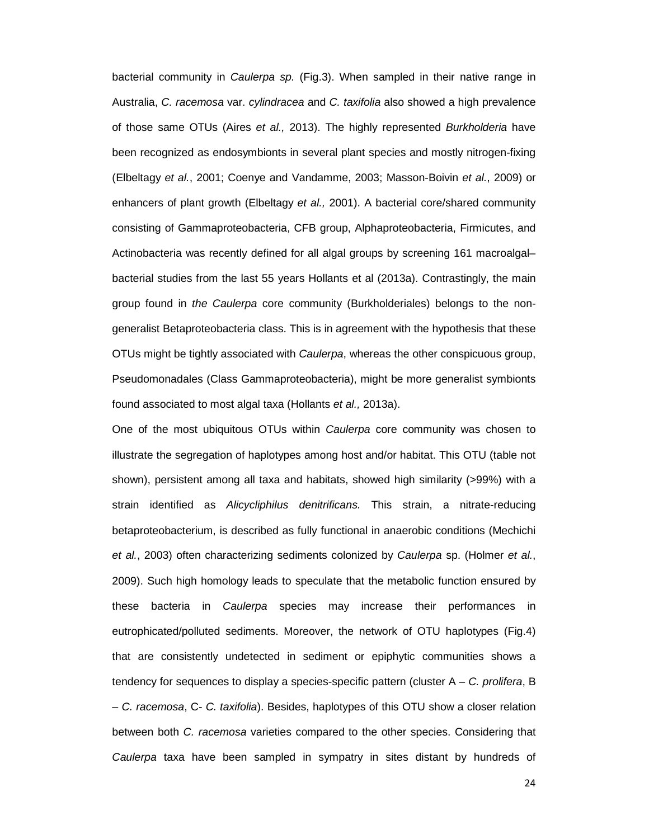bacterial community in *Caulerpa sp.* (Fig.3). When sampled in their native range in Australia, C. racemosa var. cylindracea and C. taxifolia also showed a high prevalence of those same OTUs (Aires et al., 2013). The highly represented Burkholderia have been recognized as endosymbionts in several plant species and mostly nitrogen-fixing (Elbeltagy et al., 2001; Coenye and Vandamme, 2003; Masson-Boivin et al., 2009) or enhancers of plant growth (Elbeltagy et al., 2001). A bacterial core/shared community consisting of Gammaproteobacteria, CFB group, Alphaproteobacteria, Firmicutes, and Actinobacteria was recently defined for all algal groups by screening 161 macroalgal– bacterial studies from the last 55 years Hollants et al (2013a). Contrastingly, the main group found in the Caulerpa core community (Burkholderiales) belongs to the nongeneralist Betaproteobacteria class. This is in agreement with the hypothesis that these OTUs might be tightly associated with *Caulerpa*, whereas the other conspicuous group, Pseudomonadales (Class Gammaproteobacteria), might be more generalist symbionts found associated to most algal taxa (Hollants et al., 2013a).

One of the most ubiquitous OTUs within Caulerpa core community was chosen to illustrate the segregation of haplotypes among host and/or habitat. This OTU (table not shown), persistent among all taxa and habitats, showed high similarity (>99%) with a strain identified as Alicycliphilus denitrificans. This strain, a nitrate-reducing betaproteobacterium, is described as fully functional in anaerobic conditions (Mechichi et al., 2003) often characterizing sediments colonized by Caulerpa sp. (Holmer et al., 2009). Such high homology leads to speculate that the metabolic function ensured by these bacteria in Caulerpa species may increase their performances in eutrophicated/polluted sediments. Moreover, the network of OTU haplotypes (Fig.4) that are consistently undetected in sediment or epiphytic communities shows a tendency for sequences to display a species-specific pattern (cluster  $A - C$ . prolifera, B – C. racemosa, C- C. taxifolia). Besides, haplotypes of this OTU show a closer relation between both C. racemosa varieties compared to the other species. Considering that Caulerpa taxa have been sampled in sympatry in sites distant by hundreds of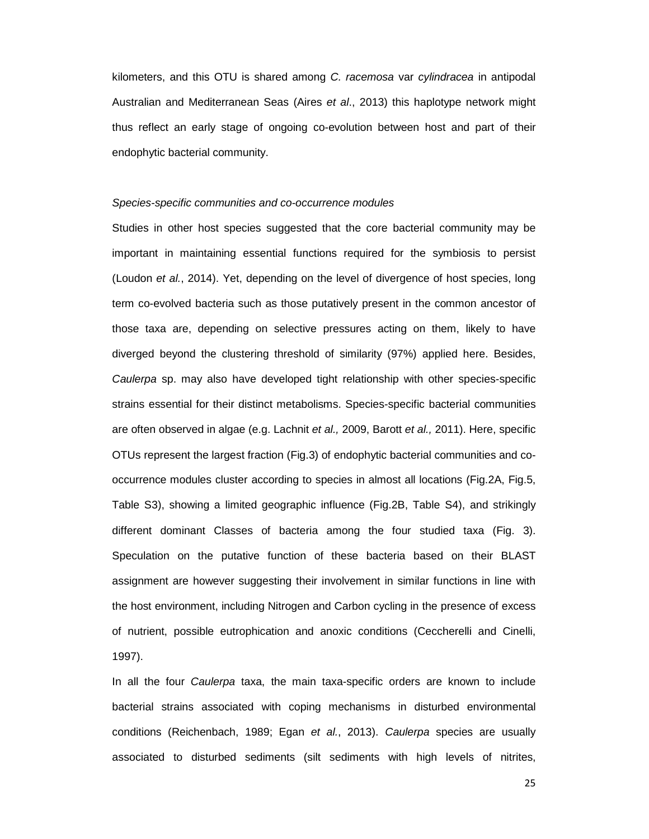kilometers, and this OTU is shared among C. racemosa var cylindracea in antipodal Australian and Mediterranean Seas (Aires et al., 2013) this haplotype network might thus reflect an early stage of ongoing co-evolution between host and part of their endophytic bacterial community.

#### Species-specific communities and co-occurrence modules

Studies in other host species suggested that the core bacterial community may be important in maintaining essential functions required for the symbiosis to persist (Loudon et al., 2014). Yet, depending on the level of divergence of host species, long term co-evolved bacteria such as those putatively present in the common ancestor of those taxa are, depending on selective pressures acting on them, likely to have diverged beyond the clustering threshold of similarity (97%) applied here. Besides, Caulerpa sp. may also have developed tight relationship with other species-specific strains essential for their distinct metabolisms. Species-specific bacterial communities are often observed in algae (e.g. Lachnit et al., 2009, Barott et al., 2011). Here, specific OTUs represent the largest fraction (Fig.3) of endophytic bacterial communities and cooccurrence modules cluster according to species in almost all locations (Fig.2A, Fig.5, Table S3), showing a limited geographic influence (Fig.2B, Table S4), and strikingly different dominant Classes of bacteria among the four studied taxa (Fig. 3). Speculation on the putative function of these bacteria based on their BLAST assignment are however suggesting their involvement in similar functions in line with the host environment, including Nitrogen and Carbon cycling in the presence of excess of nutrient, possible eutrophication and anoxic conditions (Ceccherelli and Cinelli, 1997).

In all the four Caulerpa taxa, the main taxa-specific orders are known to include bacterial strains associated with coping mechanisms in disturbed environmental conditions (Reichenbach, 1989; Egan et al., 2013). Caulerpa species are usually associated to disturbed sediments (silt sediments with high levels of nitrites,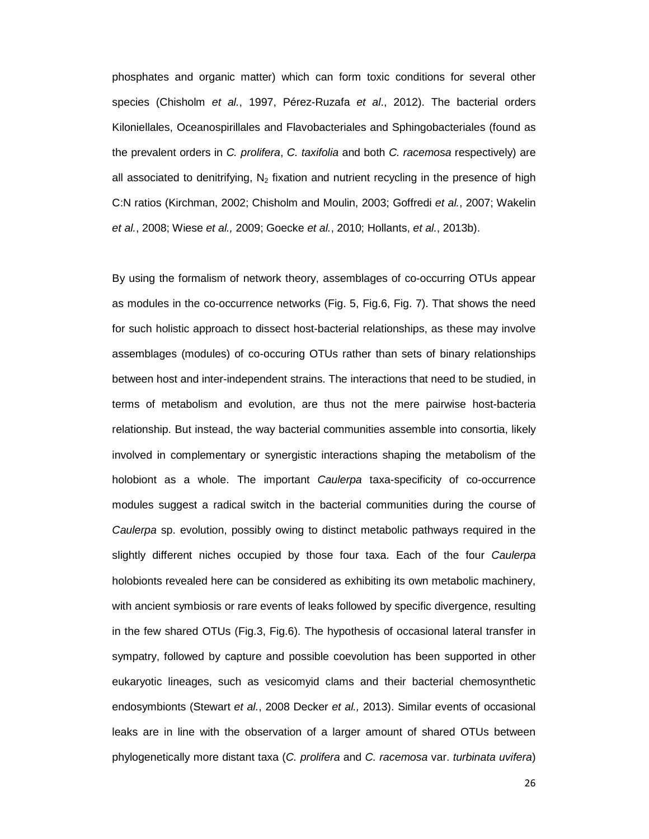phosphates and organic matter) which can form toxic conditions for several other species (Chisholm et al., 1997, Pérez-Ruzafa et al., 2012). The bacterial orders Kiloniellales, Oceanospirillales and Flavobacteriales and Sphingobacteriales (found as the prevalent orders in C. prolifera, C. taxifolia and both C. racemosa respectively) are all associated to denitrifying,  $N_2$  fixation and nutrient recycling in the presence of high C:N ratios (Kirchman, 2002; Chisholm and Moulin, 2003; Goffredi et al., 2007; Wakelin et al., 2008; Wiese et al., 2009; Goecke et al., 2010; Hollants, et al., 2013b).

By using the formalism of network theory, assemblages of co-occurring OTUs appear as modules in the co-occurrence networks (Fig. 5, Fig.6, Fig. 7). That shows the need for such holistic approach to dissect host-bacterial relationships, as these may involve assemblages (modules) of co-occuring OTUs rather than sets of binary relationships between host and inter-independent strains. The interactions that need to be studied, in terms of metabolism and evolution, are thus not the mere pairwise host-bacteria relationship. But instead, the way bacterial communities assemble into consortia, likely involved in complementary or synergistic interactions shaping the metabolism of the holobiont as a whole. The important *Caulerpa* taxa-specificity of co-occurrence modules suggest a radical switch in the bacterial communities during the course of Caulerpa sp. evolution, possibly owing to distinct metabolic pathways required in the slightly different niches occupied by those four taxa. Each of the four Caulerpa holobionts revealed here can be considered as exhibiting its own metabolic machinery, with ancient symbiosis or rare events of leaks followed by specific divergence, resulting in the few shared OTUs (Fig.3, Fig.6). The hypothesis of occasional lateral transfer in sympatry, followed by capture and possible coevolution has been supported in other eukaryotic lineages, such as vesicomyid clams and their bacterial chemosynthetic endosymbionts (Stewart et al., 2008 Decker et al., 2013). Similar events of occasional leaks are in line with the observation of a larger amount of shared OTUs between phylogenetically more distant taxa (C. prolifera and C. racemosa var. turbinata uvifera)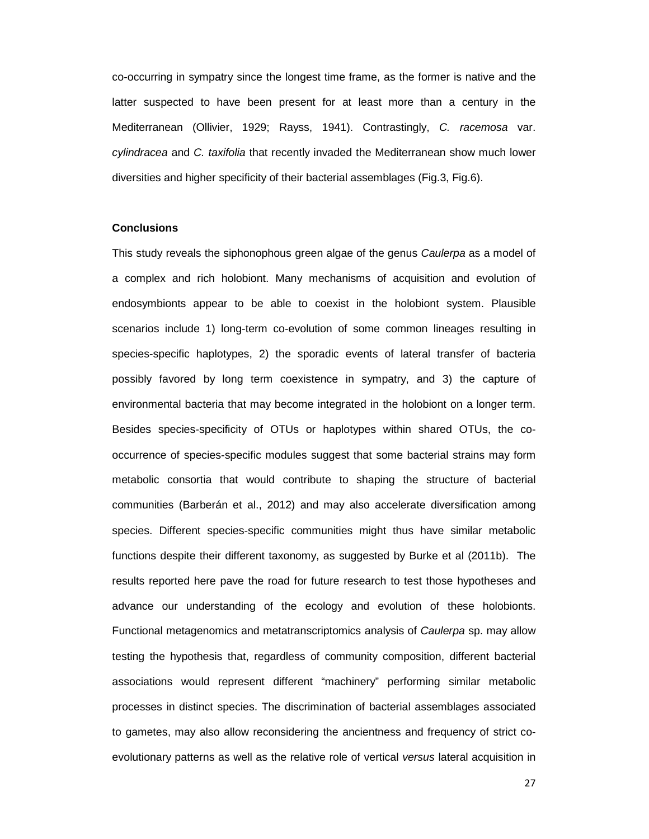co-occurring in sympatry since the longest time frame, as the former is native and the latter suspected to have been present for at least more than a century in the Mediterranean (Ollivier, 1929; Rayss, 1941). Contrastingly, C. racemosa var. cylindracea and C. taxifolia that recently invaded the Mediterranean show much lower diversities and higher specificity of their bacterial assemblages (Fig.3, Fig.6).

## **Conclusions**

This study reveals the siphonophous green algae of the genus Caulerpa as a model of a complex and rich holobiont. Many mechanisms of acquisition and evolution of endosymbionts appear to be able to coexist in the holobiont system. Plausible scenarios include 1) long-term co-evolution of some common lineages resulting in species-specific haplotypes, 2) the sporadic events of lateral transfer of bacteria possibly favored by long term coexistence in sympatry, and 3) the capture of environmental bacteria that may become integrated in the holobiont on a longer term. Besides species-specificity of OTUs or haplotypes within shared OTUs, the cooccurrence of species-specific modules suggest that some bacterial strains may form metabolic consortia that would contribute to shaping the structure of bacterial communities (Barberán et al., 2012) and may also accelerate diversification among species. Different species-specific communities might thus have similar metabolic functions despite their different taxonomy, as suggested by Burke et al (2011b). The results reported here pave the road for future research to test those hypotheses and advance our understanding of the ecology and evolution of these holobionts. Functional metagenomics and metatranscriptomics analysis of Caulerpa sp. may allow testing the hypothesis that, regardless of community composition, different bacterial associations would represent different "machinery" performing similar metabolic processes in distinct species. The discrimination of bacterial assemblages associated to gametes, may also allow reconsidering the ancientness and frequency of strict coevolutionary patterns as well as the relative role of vertical versus lateral acquisition in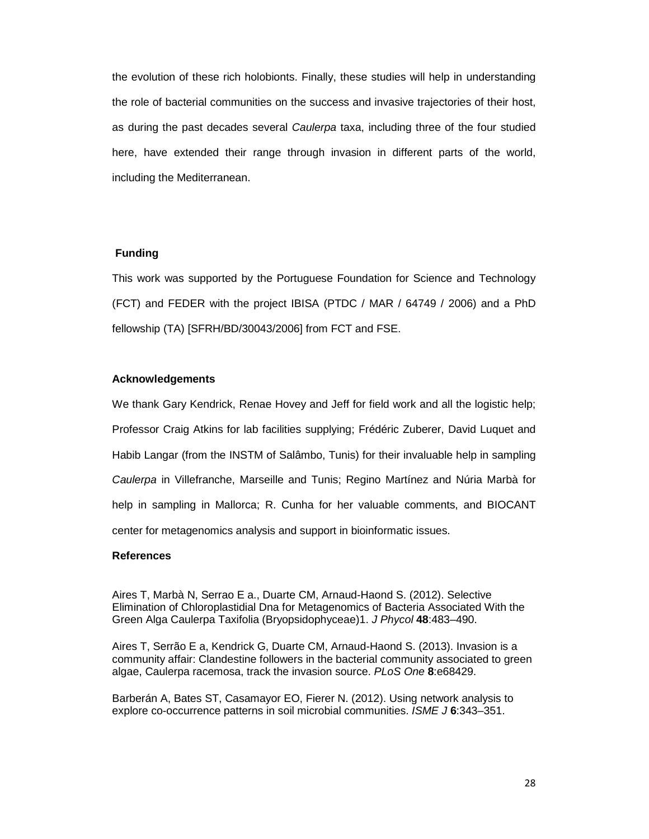the evolution of these rich holobionts. Finally, these studies will help in understanding the role of bacterial communities on the success and invasive trajectories of their host, as during the past decades several Caulerpa taxa, including three of the four studied here, have extended their range through invasion in different parts of the world, including the Mediterranean.

## **Funding**

This work was supported by the Portuguese Foundation for Science and Technology (FCT) and FEDER with the project IBISA (PTDC / MAR / 64749 / 2006) and a PhD fellowship (TA) [SFRH/BD/30043/2006] from FCT and FSE.

## **Acknowledgements**

We thank Gary Kendrick, Renae Hovey and Jeff for field work and all the logistic help; Professor Craig Atkins for lab facilities supplying; Frédéric Zuberer, David Luquet and Habib Langar (from the INSTM of Salâmbo, Tunis) for their invaluable help in sampling Caulerpa in Villefranche, Marseille and Tunis; Regino Martínez and Núria Marbà for help in sampling in Mallorca; R. Cunha for her valuable comments, and BIOCANT center for metagenomics analysis and support in bioinformatic issues.

#### **References**

Aires T, Marbà N, Serrao E a., Duarte CM, Arnaud-Haond S. (2012). Selective Elimination of Chloroplastidial Dna for Metagenomics of Bacteria Associated With the Green Alga Caulerpa Taxifolia (Bryopsidophyceae)1. J Phycol **48**:483–490.

Aires T, Serrão E a, Kendrick G, Duarte CM, Arnaud-Haond S. (2013). Invasion is a community affair: Clandestine followers in the bacterial community associated to green algae, Caulerpa racemosa, track the invasion source. PLoS One **8**:e68429.

Barberán A, Bates ST, Casamayor EO, Fierer N. (2012). Using network analysis to explore co-occurrence patterns in soil microbial communities. ISME J **6**:343–351.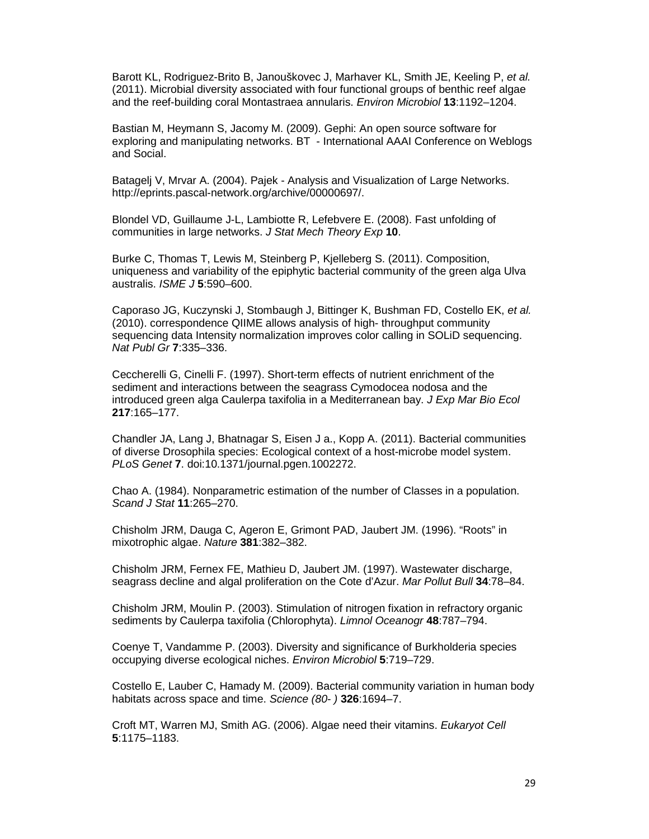Barott KL, Rodriguez-Brito B, Janouškovec J, Marhaver KL, Smith JE, Keeling P, et al. (2011). Microbial diversity associated with four functional groups of benthic reef algae and the reef-building coral Montastraea annularis. Environ Microbiol **13**:1192–1204.

Bastian M, Heymann S, Jacomy M. (2009). Gephi: An open source software for exploring and manipulating networks. BT - International AAAI Conference on Weblogs and Social.

Batagelj V, Mrvar A. (2004). Pajek - Analysis and Visualization of Large Networks. http://eprints.pascal-network.org/archive/00000697/.

Blondel VD, Guillaume J-L, Lambiotte R, Lefebvere E. (2008). Fast unfolding of communities in large networks. J Stat Mech Theory Exp **10**.

Burke C, Thomas T, Lewis M, Steinberg P, Kjelleberg S. (2011). Composition, uniqueness and variability of the epiphytic bacterial community of the green alga Ulva australis. ISME J **5**:590–600.

Caporaso JG, Kuczynski J, Stombaugh J, Bittinger K, Bushman FD, Costello EK, et al. (2010). correspondence QIIME allows analysis of high- throughput community sequencing data Intensity normalization improves color calling in SOLiD sequencing. Nat Publ Gr **7**:335–336.

Ceccherelli G, Cinelli F. (1997). Short-term effects of nutrient enrichment of the sediment and interactions between the seagrass Cymodocea nodosa and the introduced green alga Caulerpa taxifolia in a Mediterranean bay. J Exp Mar Bio Ecol **217**:165–177.

Chandler JA, Lang J, Bhatnagar S, Eisen J a., Kopp A. (2011). Bacterial communities of diverse Drosophila species: Ecological context of a host-microbe model system. PLoS Genet **7**. doi:10.1371/journal.pgen.1002272.

Chao A. (1984). Nonparametric estimation of the number of Classes in a population. Scand J Stat **11**:265–270.

Chisholm JRM, Dauga C, Ageron E, Grimont PAD, Jaubert JM. (1996). "Roots" in mixotrophic algae. Nature **381**:382–382.

Chisholm JRM, Fernex FE, Mathieu D, Jaubert JM. (1997). Wastewater discharge, seagrass decline and algal proliferation on the Cote d'Azur. Mar Pollut Bull **34**:78–84.

Chisholm JRM, Moulin P. (2003). Stimulation of nitrogen fixation in refractory organic sediments by Caulerpa taxifolia (Chlorophyta). Limnol Oceanogr **48**:787–794.

Coenye T, Vandamme P. (2003). Diversity and significance of Burkholderia species occupying diverse ecological niches. Environ Microbiol **5**:719–729.

Costello E, Lauber C, Hamady M. (2009). Bacterial community variation in human body habitats across space and time. Science (80- ) **326**:1694–7.

Croft MT, Warren MJ, Smith AG. (2006). Algae need their vitamins. Eukaryot Cell **5**:1175–1183.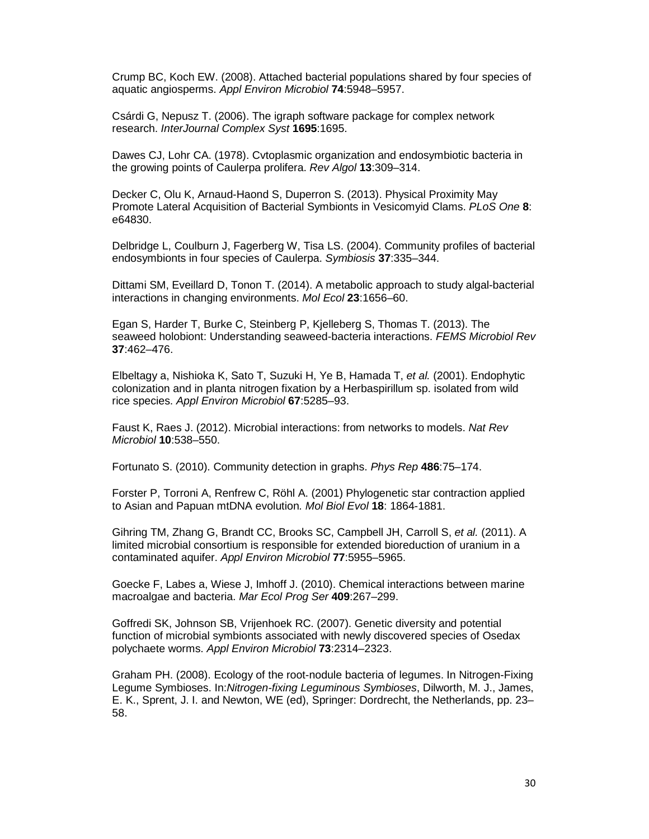Crump BC, Koch EW. (2008). Attached bacterial populations shared by four species of aquatic angiosperms. Appl Environ Microbiol **74**:5948–5957.

Csárdi G, Nepusz T. (2006). The igraph software package for complex network research. InterJournal Complex Syst **1695**:1695.

Dawes CJ, Lohr CA. (1978). Cvtoplasmic organization and endosymbiotic bacteria in the growing points of Caulerpa prolifera. Rev Algol **13**:309–314.

Decker C, Olu K, Arnaud-Haond S, Duperron S. (2013). Physical Proximity May Promote Lateral Acquisition of Bacterial Symbionts in Vesicomyid Clams. PLoS One **8**: e64830.

Delbridge L, Coulburn J, Fagerberg W, Tisa LS. (2004). Community profiles of bacterial endosymbionts in four species of Caulerpa. Symbiosis **37**:335–344.

Dittami SM, Eveillard D, Tonon T. (2014). A metabolic approach to study algal-bacterial interactions in changing environments. Mol Ecol **23**:1656–60.

Egan S, Harder T, Burke C, Steinberg P, Kjelleberg S, Thomas T. (2013). The seaweed holobiont: Understanding seaweed-bacteria interactions. FEMS Microbiol Rev **37**:462–476.

Elbeltagy a, Nishioka K, Sato T, Suzuki H, Ye B, Hamada T, et al. (2001). Endophytic colonization and in planta nitrogen fixation by a Herbaspirillum sp. isolated from wild rice species. Appl Environ Microbiol **67**:5285–93.

Faust K, Raes J. (2012). Microbial interactions: from networks to models. Nat Rev Microbiol **10**:538–550.

Fortunato S. (2010). Community detection in graphs. Phys Rep **486**:75–174.

Forster P, Torroni A, Renfrew C, Röhl A. (2001) Phylogenetic star contraction applied to Asian and Papuan mtDNA evolution. Mol Biol Evol **18**: 1864-1881.

Gihring TM, Zhang G, Brandt CC, Brooks SC, Campbell JH, Carroll S, et al. (2011). A limited microbial consortium is responsible for extended bioreduction of uranium in a contaminated aquifer. Appl Environ Microbiol **77**:5955–5965.

Goecke F, Labes a, Wiese J, Imhoff J. (2010). Chemical interactions between marine macroalgae and bacteria. Mar Ecol Prog Ser **409**:267–299.

Goffredi SK, Johnson SB, Vrijenhoek RC. (2007). Genetic diversity and potential function of microbial symbionts associated with newly discovered species of Osedax polychaete worms. Appl Environ Microbiol **73**:2314–2323.

Graham PH. (2008). Ecology of the root-nodule bacteria of legumes. In Nitrogen-Fixing Legume Symbioses. In:Nitrogen-fixing Leguminous Symbioses, Dilworth, M. J., James, E. K., Sprent, J. I. and Newton, WE (ed), Springer: Dordrecht, the Netherlands, pp. 23– 58.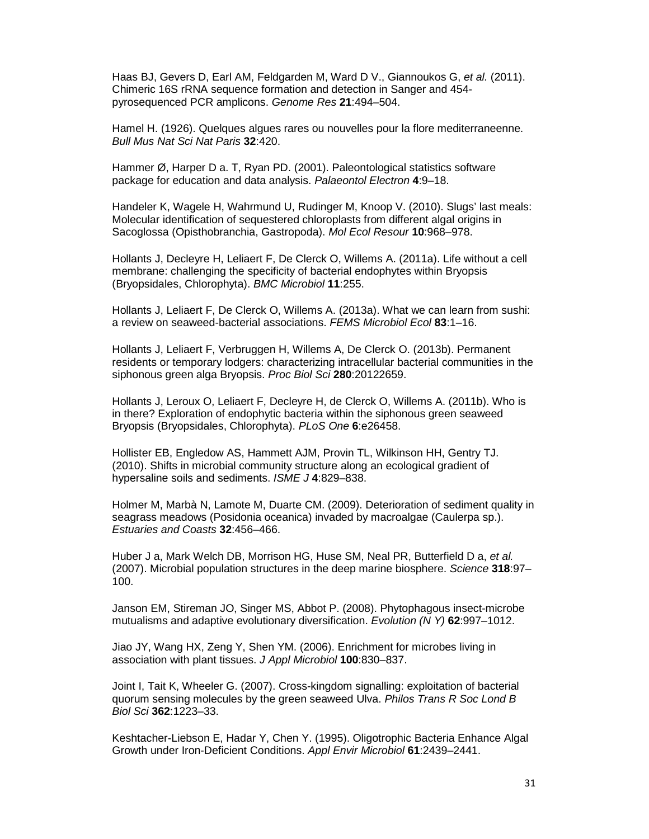Haas BJ, Gevers D, Earl AM, Feldgarden M, Ward D V., Giannoukos G, et al. (2011). Chimeric 16S rRNA sequence formation and detection in Sanger and 454 pyrosequenced PCR amplicons. Genome Res **21**:494–504.

Hamel H. (1926). Quelques algues rares ou nouvelles pour la flore mediterraneenne. Bull Mus Nat Sci Nat Paris **32**:420.

Hammer Ø, Harper D a. T, Ryan PD. (2001). Paleontological statistics software package for education and data analysis. Palaeontol Electron **4**:9–18.

Handeler K, Wagele H, Wahrmund U, Rudinger M, Knoop V. (2010). Slugs' last meals: Molecular identification of sequestered chloroplasts from different algal origins in Sacoglossa (Opisthobranchia, Gastropoda). Mol Ecol Resour **10**:968–978.

Hollants J, Decleyre H, Leliaert F, De Clerck O, Willems A. (2011a). Life without a cell membrane: challenging the specificity of bacterial endophytes within Bryopsis (Bryopsidales, Chlorophyta). BMC Microbiol **11**:255.

Hollants J, Leliaert F, De Clerck O, Willems A. (2013a). What we can learn from sushi: a review on seaweed-bacterial associations. FEMS Microbiol Ecol **83**:1–16.

Hollants J, Leliaert F, Verbruggen H, Willems A, De Clerck O. (2013b). Permanent residents or temporary lodgers: characterizing intracellular bacterial communities in the siphonous green alga Bryopsis. Proc Biol Sci **280**:20122659.

Hollants J, Leroux O, Leliaert F, Decleyre H, de Clerck O, Willems A. (2011b). Who is in there? Exploration of endophytic bacteria within the siphonous green seaweed Bryopsis (Bryopsidales, Chlorophyta). PLoS One **6**:e26458.

Hollister EB, Engledow AS, Hammett AJM, Provin TL, Wilkinson HH, Gentry TJ. (2010). Shifts in microbial community structure along an ecological gradient of hypersaline soils and sediments. ISME J **4**:829–838.

Holmer M, Marbà N, Lamote M, Duarte CM. (2009). Deterioration of sediment quality in seagrass meadows (Posidonia oceanica) invaded by macroalgae (Caulerpa sp.). Estuaries and Coasts **32**:456–466.

Huber J a, Mark Welch DB, Morrison HG, Huse SM, Neal PR, Butterfield D a. et al. (2007). Microbial population structures in the deep marine biosphere. Science **318**:97– 100.

Janson EM, Stireman JO, Singer MS, Abbot P. (2008). Phytophagous insect-microbe mutualisms and adaptive evolutionary diversification. Evolution (N Y) **62**:997–1012.

Jiao JY, Wang HX, Zeng Y, Shen YM. (2006). Enrichment for microbes living in association with plant tissues. J Appl Microbiol **100**:830–837.

Joint I, Tait K, Wheeler G. (2007). Cross-kingdom signalling: exploitation of bacterial quorum sensing molecules by the green seaweed Ulva. Philos Trans R Soc Lond B Biol Sci **362**:1223–33.

Keshtacher-Liebson E, Hadar Y, Chen Y. (1995). Oligotrophic Bacteria Enhance Algal Growth under Iron-Deficient Conditions. Appl Envir Microbiol **61**:2439–2441.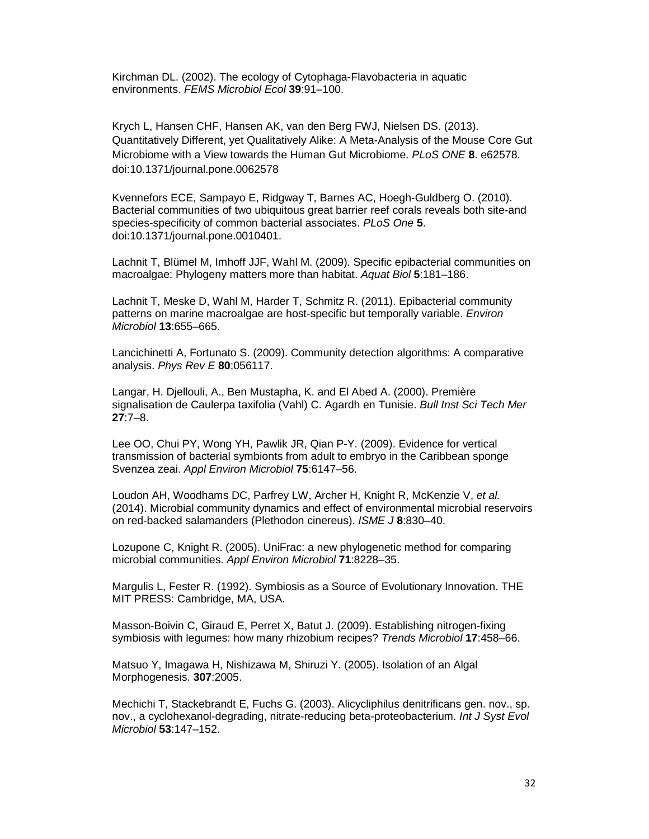Kirchman DL. (2002). The ecology of Cytophaga-Flavobacteria in aquatic environments. FEMS Microbiol Ecol **39**:91–100.

Krych L, Hansen CHF, Hansen AK, van den Berg FWJ, Nielsen DS. (2013). Quantitatively Different, yet Qualitatively Alike: A Meta-Analysis of the Mouse Core Gut Microbiome with a View towards the Human Gut Microbiome. PLoS ONE **8**. e62578. doi:10.1371/journal.pone.0062578

Kvennefors ECE, Sampayo E, Ridgway T, Barnes AC, Hoegh-Guldberg O. (2010). Bacterial communities of two ubiquitous great barrier reef corals reveals both site-and species-specificity of common bacterial associates. PLoS One **5**. doi:10.1371/journal.pone.0010401.

Lachnit T, Blümel M, Imhoff JJF, Wahl M. (2009). Specific epibacterial communities on macroalgae: Phylogeny matters more than habitat. Aquat Biol **5**:181–186.

Lachnit T, Meske D, Wahl M, Harder T, Schmitz R. (2011). Epibacterial community patterns on marine macroalgae are host-specific but temporally variable. Environ Microbiol **13**:655–665.

Lancichinetti A, Fortunato S. (2009). Community detection algorithms: A comparative analysis. Phys Rev E **80**:056117.

Langar, H. Djellouli, A., Ben Mustapha, K. and El Abed A. (2000). Première signalisation de Caulerpa taxifolia (Vahl) C. Agardh en Tunisie. Bull Inst Sci Tech Mer **27**:7–8.

Lee OO, Chui PY, Wong YH, Pawlik JR, Qian P-Y. (2009). Evidence for vertical transmission of bacterial symbionts from adult to embryo in the Caribbean sponge Svenzea zeai. Appl Environ Microbiol **75**:6147–56.

Loudon AH, Woodhams DC, Parfrey LW, Archer H, Knight R, McKenzie V, et al. (2014). Microbial community dynamics and effect of environmental microbial reservoirs on red-backed salamanders (Plethodon cinereus). ISME J **8**:830–40.

Lozupone C, Knight R. (2005). UniFrac: a new phylogenetic method for comparing microbial communities. Appl Environ Microbiol **71**:8228–35.

Margulis L, Fester R. (1992). Symbiosis as a Source of Evolutionary Innovation. THE MIT PRESS: Cambridge, MA, USA.

Masson-Boivin C, Giraud E, Perret X, Batut J. (2009). Establishing nitrogen-fixing symbiosis with legumes: how many rhizobium recipes? Trends Microbiol **17**:458–66.

Matsuo Y, Imagawa H, Nishizawa M, Shiruzi Y. (2005). Isolation of an Algal Morphogenesis. **307**:2005.

Mechichi T, Stackebrandt E, Fuchs G. (2003). Alicycliphilus denitrificans gen. nov., sp. nov., a cyclohexanol-degrading, nitrate-reducing beta-proteobacterium. Int J Syst Evol Microbiol **53**:147–152.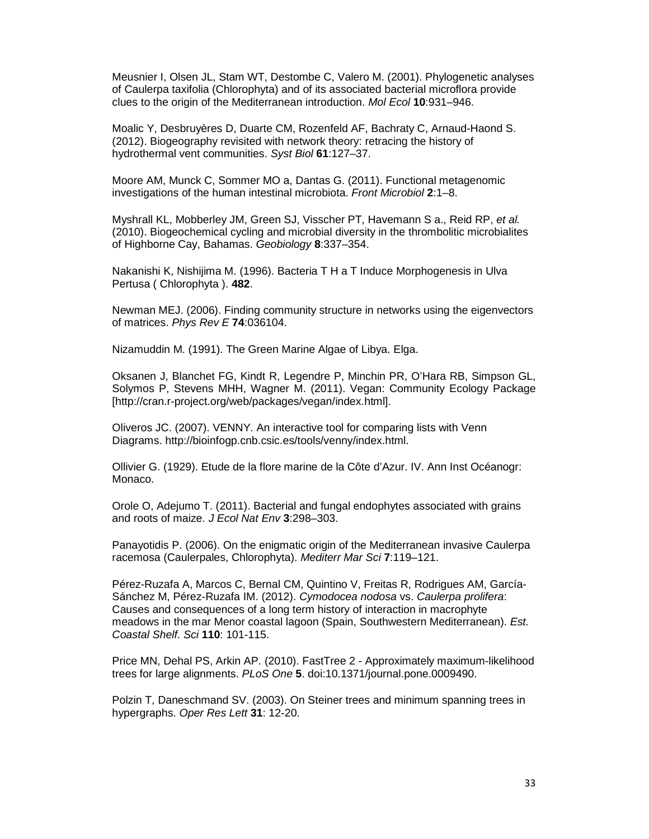Meusnier I, Olsen JL, Stam WT, Destombe C, Valero M. (2001). Phylogenetic analyses of Caulerpa taxifolia (Chlorophyta) and of its associated bacterial microflora provide clues to the origin of the Mediterranean introduction. Mol Ecol **10**:931–946.

Moalic Y, Desbruyères D, Duarte CM, Rozenfeld AF, Bachraty C, Arnaud-Haond S. (2012). Biogeography revisited with network theory: retracing the history of hydrothermal vent communities. Syst Biol **61**:127–37.

Moore AM, Munck C, Sommer MO a, Dantas G. (2011). Functional metagenomic investigations of the human intestinal microbiota. Front Microbiol **2**:1–8.

Myshrall KL, Mobberley JM, Green SJ, Visscher PT, Havemann S a., Reid RP, et al. (2010). Biogeochemical cycling and microbial diversity in the thrombolitic microbialites of Highborne Cay, Bahamas. Geobiology **8**:337–354.

Nakanishi K, Nishijima M. (1996). Bacteria T H a T Induce Morphogenesis in Ulva Pertusa ( Chlorophyta ). **482**.

Newman MEJ. (2006). Finding community structure in networks using the eigenvectors of matrices. Phys Rev E **74**:036104.

Nizamuddin M. (1991). The Green Marine Algae of Libya. Elga.

Oksanen J, Blanchet FG, Kindt R, Legendre P, Minchin PR, O'Hara RB, Simpson GL, Solymos P, Stevens MHH, Wagner M. (2011). Vegan: Community Ecology Package [http://cran.r-project.org/web/packages/vegan/index.html].

Oliveros JC. (2007). VENNY. An interactive tool for comparing lists with Venn Diagrams. http://bioinfogp.cnb.csic.es/tools/venny/index.html.

Ollivier G. (1929). Etude de la flore marine de la Côte d'Azur. IV. Ann Inst Océanogr: Monaco.

Orole O, Adejumo T. (2011). Bacterial and fungal endophytes associated with grains and roots of maize. J Ecol Nat Env **3**:298–303.

Panayotidis P. (2006). On the enigmatic origin of the Mediterranean invasive Caulerpa racemosa (Caulerpales, Chlorophyta). Mediterr Mar Sci **7**:119–121.

Pérez-Ruzafa A, Marcos C, Bernal CM, Quintino V, Freitas R, Rodrigues AM, García-Sánchez M, Pérez-Ruzafa IM. (2012). Cymodocea nodosa vs. Caulerpa prolifera: Causes and consequences of a long term history of interaction in macrophyte meadows in the mar Menor coastal lagoon (Spain, Southwestern Mediterranean). Est. Coastal Shelf. Sci **110**: 101-115.

Price MN, Dehal PS, Arkin AP. (2010). FastTree 2 - Approximately maximum-likelihood trees for large alignments. PLoS One **5**. doi:10.1371/journal.pone.0009490.

Polzin T, Daneschmand SV. (2003). On Steiner trees and minimum spanning trees in hypergraphs. Oper Res Lett **31**: 12-20.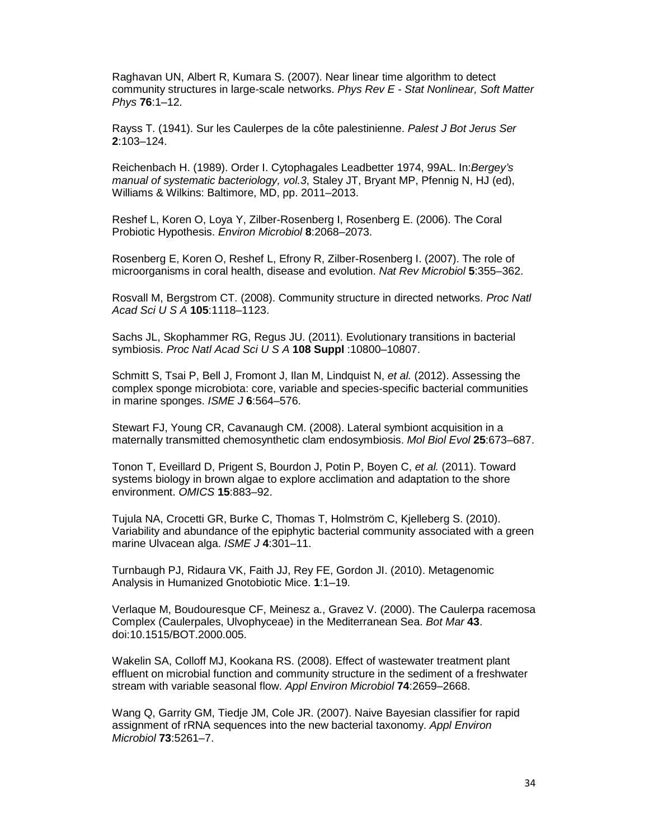Raghavan UN, Albert R, Kumara S. (2007). Near linear time algorithm to detect community structures in large-scale networks. Phys Rev E - Stat Nonlinear, Soft Matter Phys **76**:1–12.

Rayss T. (1941). Sur les Caulerpes de la côte palestinienne. Palest J Bot Jerus Ser **2**:103–124.

Reichenbach H. (1989). Order I. Cytophagales Leadbetter 1974, 99AL. In: Bergey's manual of systematic bacteriology, vol.3, Staley JT, Bryant MP, Pfennig N, HJ (ed), Williams & Wilkins: Baltimore, MD, pp. 2011–2013.

Reshef L, Koren O, Loya Y, Zilber-Rosenberg I, Rosenberg E. (2006). The Coral Probiotic Hypothesis. Environ Microbiol **8**:2068–2073.

Rosenberg E, Koren O, Reshef L, Efrony R, Zilber-Rosenberg I. (2007). The role of microorganisms in coral health, disease and evolution. Nat Rev Microbiol **5**:355–362.

Rosvall M, Bergstrom CT. (2008). Community structure in directed networks. Proc Natl Acad Sci U S A **105**:1118–1123.

Sachs JL, Skophammer RG, Regus JU. (2011). Evolutionary transitions in bacterial symbiosis. Proc Natl Acad Sci U S A **108 Suppl** :10800–10807.

Schmitt S, Tsai P, Bell J, Fromont J, Ilan M, Lindquist N, et al. (2012). Assessing the complex sponge microbiota: core, variable and species-specific bacterial communities in marine sponges. ISME J **6**:564–576.

Stewart FJ, Young CR, Cavanaugh CM. (2008). Lateral symbiont acquisition in a maternally transmitted chemosynthetic clam endosymbiosis. Mol Biol Evol **25**:673–687.

Tonon T, Eveillard D, Prigent S, Bourdon J, Potin P, Boyen C, et al. (2011). Toward systems biology in brown algae to explore acclimation and adaptation to the shore environment. OMICS **15**:883–92.

Tujula NA, Crocetti GR, Burke C, Thomas T, Holmström C, Kjelleberg S. (2010). Variability and abundance of the epiphytic bacterial community associated with a green marine Ulvacean alga. ISME J **4**:301–11.

Turnbaugh PJ, Ridaura VK, Faith JJ, Rey FE, Gordon JI. (2010). Metagenomic Analysis in Humanized Gnotobiotic Mice. **1**:1–19.

Verlaque M, Boudouresque CF, Meinesz a., Gravez V. (2000). The Caulerpa racemosa Complex (Caulerpales, Ulvophyceae) in the Mediterranean Sea. Bot Mar **43**. doi:10.1515/BOT.2000.005.

Wakelin SA, Colloff MJ, Kookana RS. (2008). Effect of wastewater treatment plant effluent on microbial function and community structure in the sediment of a freshwater stream with variable seasonal flow. Appl Environ Microbiol **74**:2659–2668.

Wang Q, Garrity GM, Tiedje JM, Cole JR. (2007). Naive Bayesian classifier for rapid assignment of rRNA sequences into the new bacterial taxonomy. Appl Environ Microbiol **73**:5261–7.